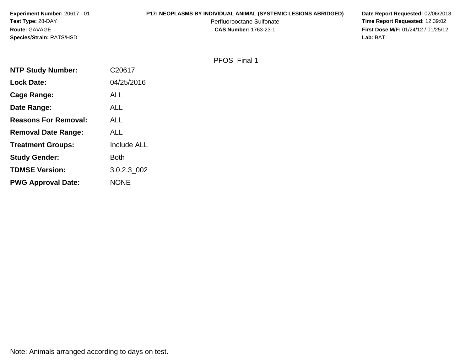| <b>Experiment Number: 20617 - 01</b> | <b>P17: NEOPLASMS BY INDIVIDUAL ANIMAL (SYSTEMIC LESIONS ABRIDGED)</b> | Date Report Requested: 02/06/2018          |
|--------------------------------------|------------------------------------------------------------------------|--------------------------------------------|
| <b>Test Type: 28-DAY</b>             | Perfluorooctane Sulfonate                                              | <b>Time Report Requested: 12:39:02</b>     |
| <b>Route: GAVAGE</b>                 | <b>CAS Number: 1763-23-1</b>                                           | <b>First Dose M/F: 01/24/12 / 01/25/12</b> |
| <b>Species/Strain: RATS/HSD</b>      |                                                                        | Lab: BAT                                   |

# PFOS\_Final 1

| <b>NTP Study Number:</b>    | C20617             |
|-----------------------------|--------------------|
| <b>Lock Date:</b>           | 04/25/2016         |
| Cage Range:                 | <b>ALL</b>         |
| Date Range:                 | <b>ALL</b>         |
| <b>Reasons For Removal:</b> | ALL                |
| <b>Removal Date Range:</b>  | <b>ALL</b>         |
| <b>Treatment Groups:</b>    | <b>Include ALL</b> |
| <b>Study Gender:</b>        | <b>Both</b>        |
| <b>TDMSE Version:</b>       | 3.0.2.3 002        |
| <b>PWG Approval Date:</b>   | <b>NONE</b>        |

Note: Animals arranged according to days on test.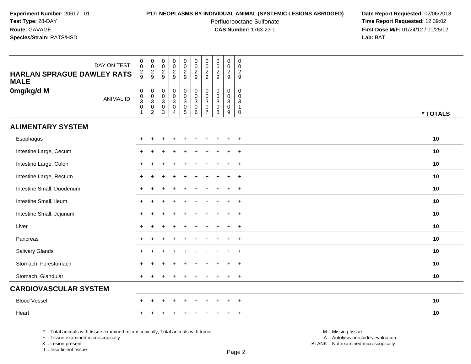## **P17: NEOPLASMS BY INDIVIDUAL ANIMAL (SYSTEMIC LESIONS ABRIDGED) Date Report Requested:** 02/06/2018

Perfluorooctane Sulfonate<br>CAS Number: 1763-23-1

 **Time Report Requested:** 12:39:02 **First Dose M/F:** 01/24/12 / 01/25/12<br>**Lab:** BAT **Lab:** BAT

| DAY ON TEST<br><b>HARLAN SPRAGUE DAWLEY RATS</b><br><b>MALE</b> | $\begin{smallmatrix} 0\\0 \end{smallmatrix}$<br>$\frac{2}{9}$    | $\begin{array}{c} 0 \\ 0 \\ 2 \\ 9 \end{array}$                  | $\pmb{0}$<br>$\overline{0}$<br>$\frac{2}{9}$           | $\pmb{0}$<br>$\ddot{\mathbf{0}}$<br>$\frac{2}{9}$                          | $\pmb{0}$<br>$\mathbf 0$<br>$\frac{2}{9}$   | $\pmb{0}$<br>$\frac{0}{2}$                                            | $\pmb{0}$<br>$\mathsf{O}\xspace$<br>$\frac{2}{9}$                                        | $\begin{array}{c} 0 \\ 0 \\ 2 \\ 9 \end{array}$                          | $\mathsf 0$<br>$\frac{0}{2}$                                        | $\mathbf 0$<br>$\Omega$<br>$\overline{2}$<br>9                            |          |
|-----------------------------------------------------------------|------------------------------------------------------------------|------------------------------------------------------------------|--------------------------------------------------------|----------------------------------------------------------------------------|---------------------------------------------|-----------------------------------------------------------------------|------------------------------------------------------------------------------------------|--------------------------------------------------------------------------|---------------------------------------------------------------------|---------------------------------------------------------------------------|----------|
| 0mg/kg/d M<br><b>ANIMAL ID</b>                                  | $\begin{matrix} 0 \\ 0 \\ 3 \\ 0 \end{matrix}$<br>$\overline{1}$ | $\begin{matrix} 0 \\ 0 \\ 3 \\ 0 \end{matrix}$<br>$\overline{2}$ | $\begin{array}{c}\n0 \\ 0 \\ 3 \\ 0 \\ 3\n\end{array}$ | $\begin{matrix} 0 \\ 0 \\ 3 \end{matrix}$<br>$\mathbf 0$<br>$\overline{4}$ | $_{\rm 0}^{\rm 0}$<br>3<br>$\mathbf 0$<br>5 | $\begin{matrix} 0 \\ 0 \\ 3 \end{matrix}$<br>$\mathsf{O}\xspace$<br>6 | $\mathbf 0$<br>$\mathbf 0$<br>$\ensuremath{\mathsf{3}}$<br>$\mathbf 0$<br>$\overline{7}$ | $\mathbf 0$<br>$\ddot{\mathbf{0}}$<br>$\overline{3}$<br>$\mathbf 0$<br>8 | $\mathbf 0$<br>$\begin{bmatrix} 0 \\ 3 \\ 0 \end{bmatrix}$<br>$9\,$ | $\mathbf 0$<br>$\mathbf 0$<br>$\mathbf{3}$<br>$\mathbf{1}$<br>$\mathbf 0$ | * TOTALS |
| <b>ALIMENTARY SYSTEM</b>                                        |                                                                  |                                                                  |                                                        |                                                                            |                                             |                                                                       |                                                                                          |                                                                          |                                                                     |                                                                           |          |
| Esophagus                                                       | $\pm$                                                            |                                                                  |                                                        |                                                                            |                                             |                                                                       |                                                                                          |                                                                          | $+$                                                                 | $+$                                                                       | 10       |
| Intestine Large, Cecum                                          |                                                                  |                                                                  |                                                        |                                                                            |                                             |                                                                       |                                                                                          |                                                                          | $\ddot{}$                                                           | $+$                                                                       | 10       |
| Intestine Large, Colon                                          | $\ddot{}$                                                        |                                                                  |                                                        |                                                                            |                                             |                                                                       |                                                                                          | $\div$                                                                   | $\pm$                                                               | $+$                                                                       | 10       |
| Intestine Large, Rectum                                         | $\ddot{}$                                                        |                                                                  |                                                        |                                                                            |                                             |                                                                       |                                                                                          |                                                                          | $\ddot{}$                                                           | $+$                                                                       | 10       |
| Intestine Small, Duodenum                                       | $\pm$                                                            |                                                                  |                                                        |                                                                            |                                             |                                                                       |                                                                                          |                                                                          |                                                                     | $^{+}$                                                                    | 10       |
| Intestine Small, Ileum                                          | $\pm$                                                            |                                                                  |                                                        |                                                                            |                                             |                                                                       |                                                                                          |                                                                          |                                                                     | $+$                                                                       | 10       |
| Intestine Small, Jejunum                                        | $\ddot{}$                                                        |                                                                  |                                                        |                                                                            |                                             |                                                                       |                                                                                          | $\div$                                                                   | $\ddot{}$                                                           | $^{+}$                                                                    | 10       |
| Liver                                                           | $\ddot{}$                                                        |                                                                  |                                                        |                                                                            |                                             |                                                                       |                                                                                          |                                                                          | $\ddot{}$                                                           | $+$                                                                       | 10       |
| Pancreas                                                        | $\ddot{}$                                                        |                                                                  |                                                        |                                                                            |                                             |                                                                       |                                                                                          |                                                                          | $\ddot{}$                                                           | $+$                                                                       | 10       |
| Salivary Glands                                                 | $\ddot{}$                                                        |                                                                  |                                                        |                                                                            |                                             |                                                                       |                                                                                          |                                                                          |                                                                     | $+$                                                                       | 10       |
| Stomach, Forestomach                                            | $\ddot{}$                                                        |                                                                  |                                                        | $\div$                                                                     |                                             |                                                                       |                                                                                          | $\div$                                                                   | $\ddot{}$                                                           | $+$                                                                       | 10       |
| Stomach, Glandular                                              | $+$                                                              |                                                                  |                                                        |                                                                            |                                             |                                                                       |                                                                                          |                                                                          | $\ddot{}$                                                           | $+$                                                                       | 10       |
| <b>CARDIOVASCULAR SYSTEM</b>                                    |                                                                  |                                                                  |                                                        |                                                                            |                                             |                                                                       |                                                                                          |                                                                          |                                                                     |                                                                           |          |
| <b>Blood Vessel</b>                                             | $\div$                                                           |                                                                  |                                                        | $\ddot{}$                                                                  | ÷                                           |                                                                       |                                                                                          |                                                                          | $\ddot{}$                                                           | $+$                                                                       | 10       |
| Heart                                                           |                                                                  |                                                                  |                                                        |                                                                            |                                             |                                                                       |                                                                                          |                                                                          |                                                                     | $\ddot{}$                                                                 | 10       |

\* .. Total animals with tissue examined microscopically; Total animals with tumor

+ .. Tissue examined microscopically

X .. Lesion present

I .. Insufficient tissue

M .. Missing tissue y the contract of the contract of the contract of the contract of the contract of  $\mathsf A$  . Autolysis precludes evaluation

Lesion present BLANK .. Not examined microscopically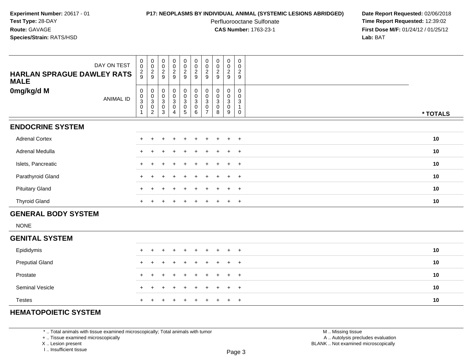## **P17: NEOPLASMS BY INDIVIDUAL ANIMAL (SYSTEMIC LESIONS ABRIDGED) Date Report Requested:** 02/06/2018

Perfluorooctane Sulfonate<br>CAS Number: 1763-23-1

 **Time Report Requested:** 12:39:02 **First Dose M/F:** 01/24/12 / 01/25/12<br>**Lab:** BAT **Lab:** BAT

| DAY ON TEST<br><b>HARLAN SPRAGUE DAWLEY RATS</b><br><b>MALE</b> | $\begin{matrix} 0 \\ 0 \end{matrix}$<br>$\frac{2}{9}$ | $\begin{matrix} 0 \\ 0 \end{matrix}$<br>$\frac{2}{9}$                 | $\begin{matrix} 0 \\ 0 \end{matrix}$<br>$\frac{2}{9}$     | 00029                                                             | $\begin{array}{c} 0 \\ 0 \\ 2 \\ 9 \end{array}$ | $\begin{matrix} 0 \\ 0 \\ 2 \end{matrix}$<br>$\boldsymbol{9}$ | $\begin{matrix} 0 \\ 0 \end{matrix}$<br>$\frac{2}{9}$                             | $\begin{matrix} 0 \\ 0 \\ 2 \\ 9 \end{matrix}$                         | $\begin{matrix} 0 \\ 0 \end{matrix}$<br>$\frac{2}{9}$ | $_{0}^{0}$<br>$\overline{2}$<br>$\boldsymbol{9}$    |          |
|-----------------------------------------------------------------|-------------------------------------------------------|-----------------------------------------------------------------------|-----------------------------------------------------------|-------------------------------------------------------------------|-------------------------------------------------|---------------------------------------------------------------|-----------------------------------------------------------------------------------|------------------------------------------------------------------------|-------------------------------------------------------|-----------------------------------------------------|----------|
| 0mg/kg/d M<br><b>ANIMAL ID</b>                                  | $\begin{matrix} 0 \\ 0 \\ 3 \\ 0 \end{matrix}$<br>1   | $\boldsymbol{0}$<br>$_{3}^{\rm 0}$<br>$\mathbf 0$<br>$\boldsymbol{2}$ | $\pmb{0}$<br>$\frac{0}{3}$<br>$\mathbf 0$<br>$\mathbf{3}$ | $\begin{smallmatrix}0\0\0\3\0\end{smallmatrix}$<br>$\overline{4}$ | 0<br>0<br>0<br>0<br>5<br>5                      | 000306                                                        | $\boldsymbol{0}$<br>$\begin{bmatrix} 0 \\ 3 \\ 0 \end{bmatrix}$<br>$\overline{7}$ | $\mathbf 0$<br>$_{3}^{\rm 0}$<br>$\ddot{\mathbf{0}}$<br>$\overline{8}$ | 0<br>$\mathbf 0$<br>$\overline{3}$<br>$\pmb{0}$<br>9  | 0<br>$\mathbf 0$<br>$\sqrt{3}$<br>$\mathbf{1}$<br>0 | * TOTALS |
| <b>ENDOCRINE SYSTEM</b>                                         |                                                       |                                                                       |                                                           |                                                                   |                                                 |                                                               |                                                                                   |                                                                        |                                                       |                                                     |          |
| <b>Adrenal Cortex</b>                                           |                                                       |                                                                       |                                                           |                                                                   |                                                 |                                                               |                                                                                   |                                                                        | $\ddot{}$                                             | $+$                                                 | 10       |
| Adrenal Medulla                                                 | $+$                                                   |                                                                       |                                                           |                                                                   |                                                 |                                                               |                                                                                   |                                                                        | $\ddot{}$                                             | $+$                                                 | 10       |
| Islets, Pancreatic                                              | $+$                                                   |                                                                       |                                                           |                                                                   |                                                 |                                                               |                                                                                   |                                                                        | $\ddot{}$                                             | $+$                                                 | 10       |
| Parathyroid Gland                                               |                                                       |                                                                       |                                                           |                                                                   |                                                 |                                                               |                                                                                   |                                                                        | $\ddot{}$                                             | $^{+}$                                              | 10       |
| <b>Pituitary Gland</b>                                          |                                                       |                                                                       |                                                           |                                                                   |                                                 |                                                               |                                                                                   |                                                                        | $\ddot{}$                                             | $^{+}$                                              | 10       |
| <b>Thyroid Gland</b>                                            | $+$                                                   | $\overline{+}$                                                        |                                                           | $\ddot{}$                                                         | $\ddot{}$                                       | $+$                                                           | $+$                                                                               | $+$                                                                    | $+$                                                   | $+$                                                 | 10       |
| <b>GENERAL BODY SYSTEM</b>                                      |                                                       |                                                                       |                                                           |                                                                   |                                                 |                                                               |                                                                                   |                                                                        |                                                       |                                                     |          |
| <b>NONE</b>                                                     |                                                       |                                                                       |                                                           |                                                                   |                                                 |                                                               |                                                                                   |                                                                        |                                                       |                                                     |          |
| <b>GENITAL SYSTEM</b>                                           |                                                       |                                                                       |                                                           |                                                                   |                                                 |                                                               |                                                                                   |                                                                        |                                                       |                                                     |          |
| Epididymis                                                      |                                                       |                                                                       |                                                           |                                                                   |                                                 |                                                               |                                                                                   |                                                                        |                                                       | $\overline{ }$                                      | 10       |
| <b>Preputial Gland</b>                                          | $\pm$                                                 |                                                                       |                                                           |                                                                   |                                                 |                                                               |                                                                                   |                                                                        | ÷.                                                    | $^{+}$                                              | 10       |
| Prostate                                                        | $\pm$                                                 | +                                                                     |                                                           |                                                                   |                                                 |                                                               |                                                                                   |                                                                        | $\ddot{}$                                             | $^{+}$                                              | 10       |
| Seminal Vesicle                                                 |                                                       |                                                                       |                                                           |                                                                   |                                                 |                                                               |                                                                                   |                                                                        | $\ddot{}$                                             | $^{+}$                                              | 10       |

# **HEMATOPOIETIC SYSTEM**

Testes

\* .. Total animals with tissue examined microscopically; Total animals with tumor

+ .. Tissue examined microscopically

<sup>+</sup>

X .. Lesion present

I .. Insufficient tissue

 M .. Missing tissuey the contract of the contract of the contract of the contract of the contract of  $\mathsf A$  . Autolysis precludes evaluation Lesion present BLANK .. Not examined microscopically

<sup>+</sup> <sup>+</sup> <sup>+</sup> <sup>+</sup> <sup>+</sup> <sup>+</sup> <sup>+</sup> <sup>+</sup> <sup>+</sup> **<sup>10</sup>**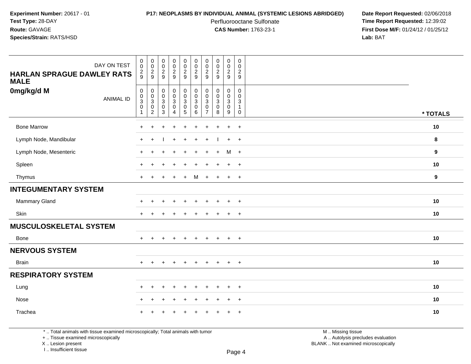# **P17: NEOPLASMS BY INDIVIDUAL ANIMAL (SYSTEMIC LESIONS ABRIDGED) Date Report Requested:** 02/06/2018

Perfluorooctane Sulfonate<br>CAS Number: 1763-23-1

 **Time Report Requested:** 12:39:02 **First Dose M/F:** 01/24/12 / 01/25/12<br>**Lab:** BAT **Lab:** BAT

| DAY ON TEST<br><b>HARLAN SPRAGUE DAWLEY RATS</b><br><b>MALE</b> | $\boldsymbol{0}$<br>$\mathbf 0$<br>$\frac{2}{9}$                                      | $\begin{array}{c} 0 \\ 0 \\ 2 \\ 9 \end{array}$     | $\begin{array}{c} 0 \\ 0 \\ 2 \\ 9 \end{array}$                                    | $\pmb{0}$<br>$\pmb{0}$<br>$\frac{2}{9}$                                                            | $\,0\,$<br>$\mathbf 0$<br>$\frac{2}{9}$                                             | $\pmb{0}$<br>$\pmb{0}$<br>$\overline{2}$<br>9                                  | $\pmb{0}$<br>$\pmb{0}$<br>$\overline{2}$<br>9                                         | 00029                                                           | $\mathbf 0$<br>$\mathbf 0$<br>$\frac{2}{9}$                                   | $\mathbf 0$<br>$\mathbf 0$<br>$\overline{c}$<br>$\boldsymbol{9}$          |          |
|-----------------------------------------------------------------|---------------------------------------------------------------------------------------|-----------------------------------------------------|------------------------------------------------------------------------------------|----------------------------------------------------------------------------------------------------|-------------------------------------------------------------------------------------|--------------------------------------------------------------------------------|---------------------------------------------------------------------------------------|-----------------------------------------------------------------|-------------------------------------------------------------------------------|---------------------------------------------------------------------------|----------|
| 0mg/kg/d M<br><b>ANIMAL ID</b>                                  | $\mathsf{O}$<br>$\pmb{0}$<br>$\ensuremath{\mathsf{3}}$<br>$\mathbf 0$<br>$\mathbf{1}$ | $\boldsymbol{0}$<br>$\frac{0}{3}$<br>$\overline{2}$ | $\begin{smallmatrix} 0\\0 \end{smallmatrix}$<br>$\overline{3}$ 0<br>$\overline{3}$ | $\mathbf 0$<br>$\overline{0}$<br>$\ensuremath{\mathsf{3}}$<br>$\pmb{0}$<br>$\overline{\mathbf{4}}$ | $\pmb{0}$<br>$\ddot{\mathbf{0}}$<br>$\overline{3}$<br>$\mathbf 0$<br>$\overline{5}$ | $\boldsymbol{0}$<br>$\pmb{0}$<br>$\ensuremath{\mathsf{3}}$<br>$\mathbf 0$<br>6 | $\mathbf 0$<br>$\Omega$<br>$\ensuremath{\mathsf{3}}$<br>$\mathbf 0$<br>$\overline{7}$ | 0<br>$\pmb{0}$<br>$\overline{3}$<br>$\pmb{0}$<br>$\overline{8}$ | $\mathbf 0$<br>$\mathbf 0$<br>$\mathbf{3}$<br>$\mathbf 0$<br>$\boldsymbol{9}$ | $\mathbf 0$<br>$\mathbf 0$<br>$\sqrt{3}$<br>$\overline{1}$<br>$\mathbf 0$ | * TOTALS |
| <b>Bone Marrow</b>                                              | $\ddot{}$                                                                             | $\div$                                              | $\ddot{}$                                                                          | $\ddot{}$                                                                                          | $\ddot{}$                                                                           | +                                                                              |                                                                                       | $\ddot{}$                                                       | $+$                                                                           | $+$                                                                       | 10       |
| Lymph Node, Mandibular                                          | $+$                                                                                   | $\pm$                                               |                                                                                    | $\div$                                                                                             | $\div$                                                                              | ÷                                                                              |                                                                                       |                                                                 | $+$                                                                           | $+$                                                                       | 8        |
| Lymph Node, Mesenteric                                          | $\ddot{}$                                                                             |                                                     |                                                                                    |                                                                                                    |                                                                                     |                                                                                |                                                                                       | $\mathbf +$                                                     | M                                                                             | $+$                                                                       | 9        |
| Spleen                                                          | <b>+</b>                                                                              |                                                     |                                                                                    |                                                                                                    |                                                                                     |                                                                                |                                                                                       |                                                                 | $\div$                                                                        | $+$                                                                       | 10       |
| Thymus                                                          | $\ddot{}$                                                                             | $+$                                                 | $+$                                                                                | $\ddot{}$                                                                                          | $\ddot{}$                                                                           | М                                                                              | $+$                                                                                   | $+$                                                             | $+$                                                                           | $+$                                                                       | 9        |
| <b>INTEGUMENTARY SYSTEM</b>                                     |                                                                                       |                                                     |                                                                                    |                                                                                                    |                                                                                     |                                                                                |                                                                                       |                                                                 |                                                                               |                                                                           |          |
| Mammary Gland                                                   | $\ddot{}$                                                                             | $\pm$                                               |                                                                                    | $\ddot{}$                                                                                          |                                                                                     | ÷                                                                              |                                                                                       | $\mathbf +$                                                     | $\ddot{}$                                                                     | $+$                                                                       | 10       |
| Skin                                                            | $\ddot{}$                                                                             |                                                     |                                                                                    |                                                                                                    |                                                                                     |                                                                                |                                                                                       |                                                                 | $\ddot{}$                                                                     | $+$                                                                       | 10       |
| <b>MUSCULOSKELETAL SYSTEM</b>                                   |                                                                                       |                                                     |                                                                                    |                                                                                                    |                                                                                     |                                                                                |                                                                                       |                                                                 |                                                                               |                                                                           |          |
| Bone                                                            | $\ddot{}$                                                                             | $\ddot{}$                                           | $\ddot{}$                                                                          | $\ddot{}$                                                                                          | $\ddot{}$                                                                           | $\ddot{}$                                                                      | $\pm$                                                                                 | $\overline{+}$                                                  | $\ddot{}$                                                                     | $+$                                                                       | 10       |
| <b>NERVOUS SYSTEM</b>                                           |                                                                                       |                                                     |                                                                                    |                                                                                                    |                                                                                     |                                                                                |                                                                                       |                                                                 |                                                                               |                                                                           |          |
| <b>Brain</b>                                                    | $\ddot{}$                                                                             | $\pm$                                               | $\overline{ }$                                                                     | $\ddot{}$                                                                                          | $\ddot{}$                                                                           | $\div$                                                                         | $\div$                                                                                | $\overline{+}$                                                  | $+$                                                                           | $+$                                                                       | 10       |
| <b>RESPIRATORY SYSTEM</b>                                       |                                                                                       |                                                     |                                                                                    |                                                                                                    |                                                                                     |                                                                                |                                                                                       |                                                                 |                                                                               |                                                                           |          |
| Lung                                                            | $\ddot{}$                                                                             | $\pm$                                               |                                                                                    | $\ddot{}$                                                                                          | $\div$                                                                              | ÷                                                                              |                                                                                       | $\mathbf +$                                                     | $\ddot{}$                                                                     | $+$                                                                       | 10       |
| Nose                                                            | $\ddot{}$                                                                             | $+$                                                 | $\overline{1}$                                                                     | $\ddot{}$                                                                                          | $\ddot{}$                                                                           | ÷                                                                              |                                                                                       | $\mathbf +$                                                     | $\overline{+}$                                                                | $+$                                                                       | 10       |
| Trachea                                                         |                                                                                       |                                                     |                                                                                    |                                                                                                    |                                                                                     |                                                                                |                                                                                       |                                                                 | $\div$                                                                        | $+$                                                                       | 10       |

\* .. Total animals with tissue examined microscopically; Total animals with tumor

+ .. Tissue examined microscopically

X .. Lesion present

I .. Insufficient tissue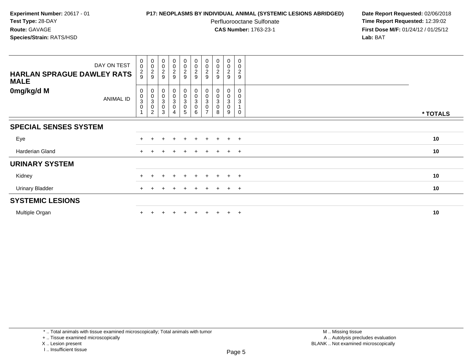## **P17: NEOPLASMS BY INDIVIDUAL ANIMAL (SYSTEMIC LESIONS ABRIDGED) Date Report Requested:** 02/06/2018

Perfluorooctane Sulfonate<br>CAS Number: 1763-23-1

 **Time Report Requested:** 12:39:02 **First Dose M/F:** 01/24/12 / 01/25/12<br>**Lab:** BAT **Lab:** BAT

| DAY ON TEST<br><b>HARLAN SPRAGUE DAWLEY RATS</b><br><b>MALE</b> | $_{\rm 0}^{\rm 0}$<br>$\frac{2}{9}$                          | 00029                                                                  | 00029                                                                               | $\begin{array}{c} 0 \\ 0 \\ 2 \\ 9 \end{array}$                     | $\begin{array}{c} 0 \\ 0 \\ 2 \\ 9 \end{array}$                     | $\begin{array}{c} 0 \\ 0 \\ 2 \\ 9 \end{array}$                       | $_{\rm 0}^{\rm 0}$<br>$\frac{2}{9}$                                                                      | 0002                                                                | $\begin{smallmatrix} 0\\0 \end{smallmatrix}$<br>$\frac{2}{9}$ | $\pmb{0}$<br>$\mathbf 0$<br>$\overline{c}$<br>$\boldsymbol{9}$ |          |
|-----------------------------------------------------------------|--------------------------------------------------------------|------------------------------------------------------------------------|-------------------------------------------------------------------------------------|---------------------------------------------------------------------|---------------------------------------------------------------------|-----------------------------------------------------------------------|----------------------------------------------------------------------------------------------------------|---------------------------------------------------------------------|---------------------------------------------------------------|----------------------------------------------------------------|----------|
| 0mg/kg/d M<br>ANIMAL ID                                         | $\begin{smallmatrix} 0\\0\\3 \end{smallmatrix}$<br>$\pmb{0}$ | $\begin{smallmatrix} 0\0\0\3 \end{smallmatrix}$<br>0<br>$\overline{c}$ | $\begin{matrix} 0 \\ 0 \end{matrix}$<br>$\ensuremath{\mathsf{3}}$<br>$\pmb{0}$<br>3 | $\begin{smallmatrix} 0\\0\\3 \end{smallmatrix}$<br>$\mathsf 0$<br>4 | $\begin{smallmatrix} 0\\0\\3 \end{smallmatrix}$<br>$\mathbf 0$<br>5 | $\begin{smallmatrix}0\\0\\3\end{smallmatrix}$<br>$\pmb{0}$<br>$\,6\,$ | $\begin{smallmatrix} 0\\0 \end{smallmatrix}$<br>$\ensuremath{\mathsf{3}}$<br>$\pmb{0}$<br>$\overline{ }$ | $\begin{smallmatrix}0\\0\end{smallmatrix}$<br>3<br>$\mathbf 0$<br>8 | 0<br>0<br>3<br>0<br>9                                         | 0<br>0<br>3<br>0                                               | * TOTALS |
| <b>SPECIAL SENSES SYSTEM</b>                                    |                                                              |                                                                        |                                                                                     |                                                                     |                                                                     |                                                                       |                                                                                                          |                                                                     |                                                               |                                                                |          |
| Eye                                                             |                                                              |                                                                        |                                                                                     | $\ddot{}$                                                           | $+$                                                                 | $+$                                                                   | $+$                                                                                                      | $+$                                                                 | $+$                                                           | $+$                                                            | 10       |
| Harderian Gland                                                 |                                                              |                                                                        |                                                                                     |                                                                     |                                                                     |                                                                       |                                                                                                          |                                                                     | $\ddot{+}$                                                    | $+$                                                            | 10       |
| <b>URINARY SYSTEM</b>                                           |                                                              |                                                                        |                                                                                     |                                                                     |                                                                     |                                                                       |                                                                                                          |                                                                     |                                                               |                                                                |          |
| Kidney                                                          |                                                              |                                                                        | ÷                                                                                   | +                                                                   | $+$                                                                 | $\pm$                                                                 | $\pm$                                                                                                    | $+$                                                                 | $\pm$                                                         | $+$                                                            | 10       |
| <b>Urinary Bladder</b>                                          |                                                              |                                                                        |                                                                                     |                                                                     |                                                                     |                                                                       |                                                                                                          |                                                                     | $\ddot{}$                                                     | $+$                                                            | 10       |
| <b>SYSTEMIC LESIONS</b>                                         |                                                              |                                                                        |                                                                                     |                                                                     |                                                                     |                                                                       |                                                                                                          |                                                                     |                                                               |                                                                |          |
| Multiple Organ                                                  |                                                              |                                                                        |                                                                                     |                                                                     |                                                                     |                                                                       |                                                                                                          |                                                                     | $\pm$                                                         | $+$                                                            | 10       |

\* .. Total animals with tissue examined microscopically; Total animals with tumor

+ .. Tissue examined microscopically

X .. Lesion present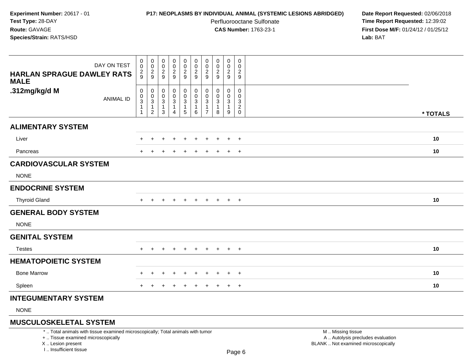# **P17: NEOPLASMS BY INDIVIDUAL ANIMAL (SYSTEMIC LESIONS ABRIDGED) Date Report Requested:** 02/06/2018

Perfluorooctane Sulfonate<br>CAS Number: 1763-23-1

 **Time Report Requested:** 12:39:02 **First Dose M/F:** 01/24/12 / 01/25/12<br>**Lab:** BAT **Lab:** BAT

| DAY ON TEST<br><b>HARLAN SPRAGUE DAWLEY RATS</b><br><b>MALE</b> | 0<br>$\mathbf 0$<br>$\frac{2}{9}$                                | 0<br>0<br>$\frac{2}{9}$       | $\pmb{0}$<br>$\mathbf 0$<br>$\frac{2}{9}$ | 0<br>$\pmb{0}$<br>$\frac{2}{9}$                                    | 0<br>$\mathbf 0$<br>$\frac{2}{9}$                  | $\boldsymbol{0}$<br>$\frac{0}{2}$                        | 0<br>0<br>$\frac{2}{9}$                                 | 0<br>0<br>$\overline{c}$<br>$\boldsymbol{9}$ | $\mathbf 0$<br>0<br>$\frac{2}{9}$ | 0<br>0<br>$\frac{2}{9}$      |          |
|-----------------------------------------------------------------|------------------------------------------------------------------|-------------------------------|-------------------------------------------|--------------------------------------------------------------------|----------------------------------------------------|----------------------------------------------------------|---------------------------------------------------------|----------------------------------------------|-----------------------------------|------------------------------|----------|
| .312mg/kg/d M<br><b>ANIMAL ID</b>                               | 0<br>$\pmb{0}$<br>$\overline{3}$<br>$\mathbf{1}$<br>$\mathbf{1}$ | 0<br>0<br>3<br>$\overline{c}$ | 0<br>0<br>3<br>1<br>3                     | 0<br>$\pmb{0}$<br>$\overline{3}$<br>$\mathbf{1}$<br>$\overline{4}$ | 0<br>$\bar{0}$<br>$\mathbf{3}$<br>$\mathbf 1$<br>5 | 0<br>$\overline{0}$<br>$\sqrt{3}$<br>$\overline{1}$<br>6 | 0<br>$\mathbf 0$<br>3<br>$\mathbf{1}$<br>$\overline{7}$ | 0<br>$\mathbf 0$<br>3<br>1<br>8              | 0<br>0<br>3<br>$\mathbf{1}$<br>9  | 0<br>0<br>3<br>$\frac{2}{0}$ | * TOTALS |
| <b>ALIMENTARY SYSTEM</b>                                        |                                                                  |                               |                                           |                                                                    |                                                    |                                                          |                                                         |                                              |                                   |                              |          |
| Liver                                                           |                                                                  | $\ddot{}$                     |                                           | $\ddot{}$                                                          | $\ddot{}$                                          | $\ddot{}$                                                | $\ddot{}$                                               | $\div$                                       | $\ddot{}$                         | $+$                          | 10       |
| Pancreas                                                        | $+$                                                              | $\ddot{}$                     |                                           | $\overline{+}$                                                     | $\ddot{}$                                          | $\ddot{}$                                                | $\ddot{}$                                               | $\ddot{}$                                    | $+$                               | $+$                          | $10$     |
| <b>CARDIOVASCULAR SYSTEM</b><br><b>NONE</b>                     |                                                                  |                               |                                           |                                                                    |                                                    |                                                          |                                                         |                                              |                                   |                              |          |
| <b>ENDOCRINE SYSTEM</b>                                         |                                                                  |                               |                                           |                                                                    |                                                    |                                                          |                                                         |                                              |                                   |                              |          |
| <b>Thyroid Gland</b>                                            | $+$                                                              | $\overline{+}$                | $\pm$                                     | $+$                                                                | $+$                                                | $+$                                                      | $+$                                                     | $+$                                          | $+$                               | $+$                          | 10       |
| <b>GENERAL BODY SYSTEM</b><br><b>NONE</b>                       |                                                                  |                               |                                           |                                                                    |                                                    |                                                          |                                                         |                                              |                                   |                              |          |
| <b>GENITAL SYSTEM</b>                                           |                                                                  |                               |                                           |                                                                    |                                                    |                                                          |                                                         |                                              |                                   |                              |          |
| <b>Testes</b>                                                   | $+$                                                              | $\ddot{}$                     | $+$                                       | $+$                                                                | $+$                                                | $+$                                                      | $+$                                                     | $+$                                          | $+$                               | $+$                          | 10       |
| <b>HEMATOPOIETIC SYSTEM</b>                                     |                                                                  |                               |                                           |                                                                    |                                                    |                                                          |                                                         |                                              |                                   |                              |          |
| <b>Bone Marrow</b>                                              | +                                                                | $\div$                        |                                           | $\div$                                                             | ÷                                                  |                                                          | ÷                                                       |                                              | $\ddot{}$                         | $+$                          | 10       |
| Spleen                                                          | $+$                                                              | $\pm$                         |                                           | $\overline{+}$                                                     | $\ddot{}$                                          | $\pm$                                                    | $\ddot{}$                                               | $\pm$                                        | $+$                               | $+$                          | 10       |
| <b>INTEGUMENTARY SYSTEM</b>                                     |                                                                  |                               |                                           |                                                                    |                                                    |                                                          |                                                         |                                              |                                   |                              |          |
| <b>NONE</b>                                                     |                                                                  |                               |                                           |                                                                    |                                                    |                                                          |                                                         |                                              |                                   |                              |          |

**MUSCULOSKELETAL SYSTEM**

\* .. Total animals with tissue examined microscopically; Total animals with tumor

+ .. Tissue examined microscopically

X .. Lesion present

I .. Insufficient tissue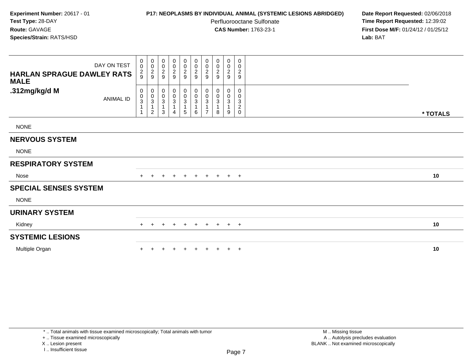## **P17: NEOPLASMS BY INDIVIDUAL ANIMAL (SYSTEMIC LESIONS ABRIDGED) Date Report Requested:** 02/06/2018

Perfluorooctane Sulfonate<br>CAS Number: 1763-23-1

 **Time Report Requested:** 12:39:02 **First Dose M/F:** 01/24/12 / 01/25/12<br>**Lab:** BAT **Lab:** BAT

| DAY ON TEST<br><b>HARLAN SPRAGUE DAWLEY RATS</b><br><b>MALE</b> | 0<br>$\mathbf 0$<br>$\frac{2}{9}$                     | $\begin{smallmatrix} 0\\0 \end{smallmatrix}$<br>$\frac{2}{9}$ | $\begin{array}{c} 0 \\ 0 \\ 2 \\ 9 \end{array}$ | $\begin{array}{c} 0 \\ 0 \\ 2 \\ 9 \end{array}$                      | $\begin{array}{c} 0 \\ 0 \\ 2 \\ 9 \end{array}$ | 00029                                                 | 0<br>$\pmb{0}$<br>$\frac{2}{9}$                       | 0<br>$\pmb{0}$<br>$\boldsymbol{2}$<br>9 | 0<br>$\mathbf 0$<br>$\frac{2}{9}$ | 0<br>0<br>$\overline{c}$<br>$9\,$                                              |          |  |
|-----------------------------------------------------------------|-------------------------------------------------------|---------------------------------------------------------------|-------------------------------------------------|----------------------------------------------------------------------|-------------------------------------------------|-------------------------------------------------------|-------------------------------------------------------|-----------------------------------------|-----------------------------------|--------------------------------------------------------------------------------|----------|--|
| .312mg/kg/d M<br><b>ANIMAL ID</b>                               | 0<br>$\pmb{0}$<br>$\ensuremath{\mathsf{3}}$<br>1<br>1 | 0<br>$\pmb{0}$<br>3<br>$\mathbf{1}$<br>$\overline{c}$         | 0<br>$_{3}^{\rm 0}$<br>$\mathbf{1}$<br>3        | $\begin{smallmatrix} 0\\0\\3 \end{smallmatrix}$<br>$\mathbf{1}$<br>4 | 0<br>$_{3}^{\rm 0}$<br>5                        | $\pmb{0}$<br>$\frac{0}{3}$<br>$\overline{1}$<br>$\,6$ | 0<br>0<br>$\ensuremath{\mathsf{3}}$<br>$\overline{7}$ | 0<br>$\mathbf 0$<br>$\sqrt{3}$<br>8     | $\mathbf{0}$<br>0<br>3<br>9       | $\mathbf 0$<br>0<br>$\ensuremath{\mathsf{3}}$<br>$\boldsymbol{2}$<br>$\pmb{0}$ | * TOTALS |  |
| <b>NONE</b>                                                     |                                                       |                                                               |                                                 |                                                                      |                                                 |                                                       |                                                       |                                         |                                   |                                                                                |          |  |
| <b>NERVOUS SYSTEM</b>                                           |                                                       |                                                               |                                                 |                                                                      |                                                 |                                                       |                                                       |                                         |                                   |                                                                                |          |  |
| <b>NONE</b>                                                     |                                                       |                                                               |                                                 |                                                                      |                                                 |                                                       |                                                       |                                         |                                   |                                                                                |          |  |
| <b>RESPIRATORY SYSTEM</b>                                       |                                                       |                                                               |                                                 |                                                                      |                                                 |                                                       |                                                       |                                         |                                   |                                                                                |          |  |
| Nose                                                            | $+$                                                   | $\pm$                                                         |                                                 | $\ddot{}$                                                            | $+$                                             | $+$                                                   | $+$                                                   | $+$                                     | $+$ $+$                           |                                                                                | 10       |  |
| <b>SPECIAL SENSES SYSTEM</b>                                    |                                                       |                                                               |                                                 |                                                                      |                                                 |                                                       |                                                       |                                         |                                   |                                                                                |          |  |
| <b>NONE</b>                                                     |                                                       |                                                               |                                                 |                                                                      |                                                 |                                                       |                                                       |                                         |                                   |                                                                                |          |  |
| <b>URINARY SYSTEM</b>                                           |                                                       |                                                               |                                                 |                                                                      |                                                 |                                                       |                                                       |                                         |                                   |                                                                                |          |  |
| Kidney                                                          | $+$                                                   | $\div$                                                        | ÷                                               | $+$                                                                  | $\ddot{}$                                       | $+$                                                   | $+$                                                   | $+$                                     | $+$                               | $+$                                                                            | 10       |  |
| <b>SYSTEMIC LESIONS</b>                                         |                                                       |                                                               |                                                 |                                                                      |                                                 |                                                       |                                                       |                                         |                                   |                                                                                |          |  |
| Multiple Organ                                                  |                                                       |                                                               |                                                 | $\ddot{}$                                                            | $\pm$                                           |                                                       |                                                       | $+$                                     | $+$                               | $+$                                                                            | 10       |  |

+ .. Tissue examined microscopically

X .. Lesion present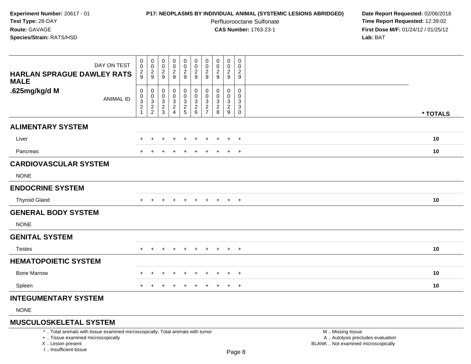# **P17: NEOPLASMS BY INDIVIDUAL ANIMAL (SYSTEMIC LESIONS ABRIDGED) Date Report Requested:** 02/06/2018

Perfluorooctane Sulfonate<br>CAS Number: 1763-23-1

 **Time Report Requested:** 12:39:02 **First Dose M/F:** 01/24/12 / 01/25/12<br>**Lab:** BAT **Lab:** BAT

| DAY ON TEST<br><b>HARLAN SPRAGUE DAWLEY RATS</b><br><b>MALE</b> | $\boldsymbol{0}$<br>0<br>$\frac{2}{9}$    | $\mathbf 0$<br>$\mathbf 0$<br>$\frac{2}{9}$ | 0<br>$\,0\,$<br>$\frac{2}{9}$         | 0<br>$\boldsymbol{0}$<br>$\frac{2}{9}$                          | $\mathbf 0$<br>$\pmb{0}$<br>$\frac{2}{9}$ | $\pmb{0}$<br>$\pmb{0}$<br>$\frac{2}{9}$            | 0<br>0<br>$\overline{c}$<br>9                            | 0<br>0<br>$\boldsymbol{2}$<br>9      | 0<br>0<br>$\frac{2}{9}$      | 0<br>$\mathbf 0$<br>$\overline{c}$<br>$\boldsymbol{9}$ |          |
|-----------------------------------------------------------------|-------------------------------------------|---------------------------------------------|---------------------------------------|-----------------------------------------------------------------|-------------------------------------------|----------------------------------------------------|----------------------------------------------------------|--------------------------------------|------------------------------|--------------------------------------------------------|----------|
| .625mg/kg/d M<br><b>ANIMAL ID</b>                               | 0<br>0<br>$\frac{3}{2}$<br>$\overline{1}$ | 0<br>$\mathbf 0$<br>$\frac{3}{2}$           | 0<br>0<br>$\sqrt{3}$<br>$\frac{2}{3}$ | 0<br>$\mathsf{O}$<br>$\begin{array}{c} 3 \\ 2 \\ 4 \end{array}$ | 0<br>$\mathsf{O}\xspace$<br>$\frac{3}{2}$ | $\boldsymbol{0}$<br>$\mathbf 0$<br>$\frac{3}{2}$ 6 | 0<br>$\Omega$<br>3<br>$\boldsymbol{2}$<br>$\overline{7}$ | 0<br>0<br>3<br>$\boldsymbol{2}$<br>8 | 0<br>0<br>3<br>$\frac{2}{9}$ | 0<br>0<br>$\sqrt{3}$<br>$\ensuremath{\mathsf{3}}$<br>0 | * TOTALS |
| <b>ALIMENTARY SYSTEM</b>                                        |                                           |                                             |                                       |                                                                 |                                           |                                                    |                                                          |                                      |                              |                                                        |          |
| Liver                                                           |                                           | $\div$                                      |                                       | $\ddot{}$                                                       | $\ddot{}$                                 |                                                    | ٠                                                        |                                      | $\pm$                        | $+$                                                    | 10       |
| Pancreas                                                        |                                           |                                             |                                       |                                                                 |                                           |                                                    |                                                          |                                      | $\ddot{}$                    | $+$                                                    | 10       |
| <b>CARDIOVASCULAR SYSTEM</b>                                    |                                           |                                             |                                       |                                                                 |                                           |                                                    |                                                          |                                      |                              |                                                        |          |
| <b>NONE</b>                                                     |                                           |                                             |                                       |                                                                 |                                           |                                                    |                                                          |                                      |                              |                                                        |          |
| <b>ENDOCRINE SYSTEM</b>                                         |                                           |                                             |                                       |                                                                 |                                           |                                                    |                                                          |                                      |                              |                                                        |          |
| <b>Thyroid Gland</b>                                            | $+$                                       | $\pm$                                       |                                       | $\ddot{}$                                                       | $\ddot{}$                                 | $+$                                                | $+$                                                      | $\pm$                                | $+$                          | $+$                                                    | 10       |
| <b>GENERAL BODY SYSTEM</b>                                      |                                           |                                             |                                       |                                                                 |                                           |                                                    |                                                          |                                      |                              |                                                        |          |
| <b>NONE</b>                                                     |                                           |                                             |                                       |                                                                 |                                           |                                                    |                                                          |                                      |                              |                                                        |          |
| <b>GENITAL SYSTEM</b>                                           |                                           |                                             |                                       |                                                                 |                                           |                                                    |                                                          |                                      |                              |                                                        |          |
| <b>Testes</b>                                                   | $+$                                       | $\pm$                                       | ÷                                     | $+$                                                             | $+$                                       | $\pm$                                              | $+$                                                      | $+$                                  | $+$                          | $+$                                                    | 10       |
| <b>HEMATOPOIETIC SYSTEM</b>                                     |                                           |                                             |                                       |                                                                 |                                           |                                                    |                                                          |                                      |                              |                                                        |          |
| <b>Bone Marrow</b>                                              | ÷                                         | $\div$                                      |                                       | $\div$                                                          | $\ddot{}$                                 | $\overline{ }$                                     |                                                          |                                      | $\ddot{}$                    | $+$                                                    | 10       |
| Spleen                                                          |                                           |                                             |                                       |                                                                 |                                           |                                                    |                                                          |                                      | $\ddot{}$                    | $+$                                                    | 10       |
| <b>INTEGUMENTARY SYSTEM</b>                                     |                                           |                                             |                                       |                                                                 |                                           |                                                    |                                                          |                                      |                              |                                                        |          |
| <b>NONE</b>                                                     |                                           |                                             |                                       |                                                                 |                                           |                                                    |                                                          |                                      |                              |                                                        |          |

**MUSCULOSKELETAL SYSTEM**

\* .. Total animals with tissue examined microscopically; Total animals with tumor

+ .. Tissue examined microscopically

X .. Lesion present

I .. Insufficient tissue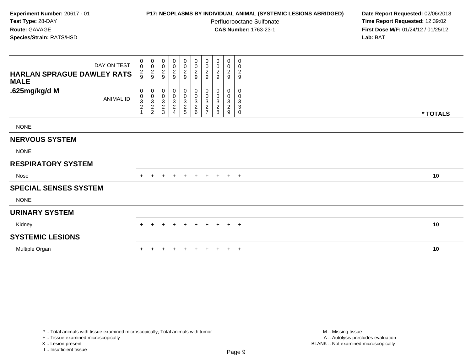## **P17: NEOPLASMS BY INDIVIDUAL ANIMAL (SYSTEMIC LESIONS ABRIDGED) Date Report Requested:** 02/06/2018

Perfluorooctane Sulfonate<br>CAS Number: 1763-23-1

 **Time Report Requested:** 12:39:02 **First Dose M/F:** 01/24/12 / 01/25/12<br>**Lab:** BAT **Lab:** BAT

| DAY ON TEST<br><b>HARLAN SPRAGUE DAWLEY RATS</b><br><b>MALE</b> | 0<br>$\mathsf{O}\xspace$<br>$\frac{2}{9}$ | $\begin{smallmatrix}0\\0\end{smallmatrix}$<br>$\frac{2}{9}$ | $\pmb{0}$<br>$\pmb{0}$<br>$\frac{2}{9}$              | $\begin{array}{c} 0 \\ 0 \\ 2 \\ 9 \end{array}$ | $\overline{0}$<br>$\frac{0}{2}$ | 0<br>$\frac{0}{2}$ | 0<br>$\pmb{0}$<br>$\boldsymbol{2}$<br>9              | 0<br>$\pmb{0}$<br>$\overline{\mathbf{c}}$<br>9 | 0<br>$\boldsymbol{0}$<br>$\frac{2}{9}$                     | 0<br>0<br>$\overline{c}$<br>$\boldsymbol{9}$ |          |
|-----------------------------------------------------------------|-------------------------------------------|-------------------------------------------------------------|------------------------------------------------------|-------------------------------------------------|---------------------------------|--------------------|------------------------------------------------------|------------------------------------------------|------------------------------------------------------------|----------------------------------------------|----------|
| .625mg/kg/d M<br><b>ANIMAL ID</b>                               | 0<br>$_{3}^{\rm 0}$<br>$\boldsymbol{2}$   | 0<br>$_{3}^{\rm 0}$<br>$\overline{c}$<br>$\overline{c}$     | 0<br>$\begin{array}{c} 0 \\ 3 \\ 2 \\ 3 \end{array}$ | 0<br>0<br>3<br>2<br>4                           | 0<br>0<br>3<br>2<br>5           | $0003$<br>$26$     | 0<br>0<br>$\ensuremath{\mathsf{3}}$<br>$\frac{2}{7}$ | 0<br>0<br>3<br>$\boldsymbol{2}$<br>8           | 0<br>0<br>$\mathbf{3}$<br>$\overline{\mathbf{c}}$<br>$9\,$ | 0<br>0<br>3<br>3<br>0                        | * TOTALS |
| <b>NONE</b>                                                     |                                           |                                                             |                                                      |                                                 |                                 |                    |                                                      |                                                |                                                            |                                              |          |
| <b>NERVOUS SYSTEM</b>                                           |                                           |                                                             |                                                      |                                                 |                                 |                    |                                                      |                                                |                                                            |                                              |          |
| <b>NONE</b>                                                     |                                           |                                                             |                                                      |                                                 |                                 |                    |                                                      |                                                |                                                            |                                              |          |
| <b>RESPIRATORY SYSTEM</b>                                       |                                           |                                                             |                                                      |                                                 |                                 |                    |                                                      |                                                |                                                            |                                              |          |
| Nose                                                            | $+$                                       | $+$                                                         | $+$                                                  | $+$                                             | $+$                             | $+$                |                                                      | $+$ $+$ $+$ $+$                                |                                                            |                                              | 10       |
| <b>SPECIAL SENSES SYSTEM</b>                                    |                                           |                                                             |                                                      |                                                 |                                 |                    |                                                      |                                                |                                                            |                                              |          |
| <b>NONE</b>                                                     |                                           |                                                             |                                                      |                                                 |                                 |                    |                                                      |                                                |                                                            |                                              |          |
| <b>URINARY SYSTEM</b>                                           |                                           |                                                             |                                                      |                                                 |                                 |                    |                                                      |                                                |                                                            |                                              |          |
| Kidney                                                          | $+$                                       |                                                             |                                                      | $+$                                             | $+$                             | $+$                | $+$                                                  | $+$                                            | $+$                                                        | $+$                                          | 10       |
| <b>SYSTEMIC LESIONS</b>                                         |                                           |                                                             |                                                      |                                                 |                                 |                    |                                                      |                                                |                                                            |                                              |          |
| Multiple Organ                                                  |                                           |                                                             |                                                      | $\div$                                          | $\pm$                           |                    | $\ddot{}$                                            | $+$                                            | $+$                                                        | $+$                                          | 10       |

+ .. Tissue examined microscopically

X .. Lesion present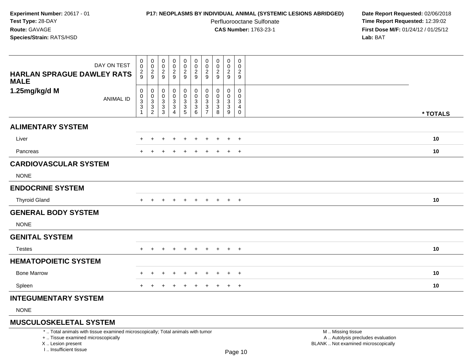# **P17: NEOPLASMS BY INDIVIDUAL ANIMAL (SYSTEMIC LESIONS ABRIDGED) Date Report Requested:** 02/06/2018

Perfluorooctane Sulfonate<br>CAS Number: 1763-23-1

 **Time Report Requested:** 12:39:02 **First Dose M/F:** 01/24/12 / 01/25/12<br>**Lab:** BAT **Lab:** BAT

| DAY ON TEST<br><b>HARLAN SPRAGUE DAWLEY RATS</b><br><b>MALE</b> | 0<br>$\mathbf 0$<br>$\frac{2}{9}$                                                          | 0<br>$\mathbf 0$<br>$\overline{a}$<br>9 | 0<br>$\mathbf 0$<br>$\boldsymbol{2}$<br>9                                    | $\pmb{0}$<br>$\mathsf 0$<br>$\overline{c}$<br>9 | 0<br>$\overline{0}$<br>$\overline{c}$<br>9 | $\pmb{0}$<br>$\frac{0}{2}$<br>$\overline{9}$                   | 0<br>$\mathbf 0$<br>$\overline{2}$<br>9   | 0<br>0<br>$\overline{c}$<br>9 | $\mathbf 0$<br>0<br>$\overline{a}$<br>9    | $\mathbf 0$<br>0<br>$\overline{c}$<br>9 |          |
|-----------------------------------------------------------------|--------------------------------------------------------------------------------------------|-----------------------------------------|------------------------------------------------------------------------------|-------------------------------------------------|--------------------------------------------|----------------------------------------------------------------|-------------------------------------------|-------------------------------|--------------------------------------------|-----------------------------------------|----------|
| 1.25mg/kg/d M<br><b>ANIMAL ID</b>                               | 0<br>$\mathbf 0$<br>$\ensuremath{\mathsf{3}}$<br>$\ensuremath{\mathsf{3}}$<br>$\mathbf{1}$ | 0<br>0<br>3<br>3<br>$\overline{c}$      | 0<br>$\Omega$<br>$\ensuremath{\mathsf{3}}$<br>$\ensuremath{\mathsf{3}}$<br>3 | 0<br>0<br>$\frac{3}{3}$<br>$\overline{4}$       | 0<br>0<br>$\frac{3}{3}$                    | 0<br>$\mathbf 0$<br>$\begin{array}{c} 3 \\ 3 \\ 6 \end{array}$ | 0<br>$\Omega$<br>3<br>3<br>$\overline{7}$ | 0<br>$\Omega$<br>3<br>3<br>8  | 0<br>$\mathbf 0$<br>$\mathbf{3}$<br>3<br>9 | $\Omega$<br>$\Omega$<br>3<br>4<br>0     | * TOTALS |
| <b>ALIMENTARY SYSTEM</b>                                        |                                                                                            |                                         |                                                                              |                                                 |                                            |                                                                |                                           |                               |                                            |                                         |          |
| Liver                                                           |                                                                                            |                                         |                                                                              | $\div$                                          |                                            |                                                                |                                           |                               | $\ddot{}$                                  | $+$                                     | 10       |
| Pancreas                                                        | $\ddot{}$                                                                                  |                                         |                                                                              | $\overline{+}$                                  | $\ddot{}$                                  | $\ddot{}$                                                      | +                                         | $\pm$                         | $+$                                        | $+$                                     | 10       |
| <b>CARDIOVASCULAR SYSTEM</b>                                    |                                                                                            |                                         |                                                                              |                                                 |                                            |                                                                |                                           |                               |                                            |                                         |          |
| <b>NONE</b>                                                     |                                                                                            |                                         |                                                                              |                                                 |                                            |                                                                |                                           |                               |                                            |                                         |          |
| <b>ENDOCRINE SYSTEM</b>                                         |                                                                                            |                                         |                                                                              |                                                 |                                            |                                                                |                                           |                               |                                            |                                         |          |
| <b>Thyroid Gland</b>                                            | $\pm$                                                                                      | $\pm$                                   | $\div$                                                                       | $\overline{+}$                                  | $\ddot{}$                                  | $\pm$                                                          | $\pm$                                     | $+$                           | $+$                                        | $+$                                     | 10       |
| <b>GENERAL BODY SYSTEM</b>                                      |                                                                                            |                                         |                                                                              |                                                 |                                            |                                                                |                                           |                               |                                            |                                         |          |
| <b>NONE</b>                                                     |                                                                                            |                                         |                                                                              |                                                 |                                            |                                                                |                                           |                               |                                            |                                         |          |
| <b>GENITAL SYSTEM</b>                                           |                                                                                            |                                         |                                                                              |                                                 |                                            |                                                                |                                           |                               |                                            |                                         |          |
| <b>Testes</b>                                                   | $+$                                                                                        |                                         |                                                                              |                                                 |                                            |                                                                | $\ddot{}$                                 |                               | $+$                                        | $+$                                     | 10       |
| <b>HEMATOPOIETIC SYSTEM</b>                                     |                                                                                            |                                         |                                                                              |                                                 |                                            |                                                                |                                           |                               |                                            |                                         |          |
| <b>Bone Marrow</b>                                              |                                                                                            |                                         |                                                                              | $\overline{ }$                                  | $\div$                                     |                                                                | ÷                                         | $\pm$                         | $\overline{+}$                             | $+$                                     | 10       |
| Spleen                                                          |                                                                                            |                                         |                                                                              |                                                 |                                            |                                                                |                                           |                               | $\ddot{}$                                  | $+$                                     | 10       |
| <b>INTEGUMENTARY SYSTEM</b>                                     |                                                                                            |                                         |                                                                              |                                                 |                                            |                                                                |                                           |                               |                                            |                                         |          |
| $\mathbf{N}$                                                    |                                                                                            |                                         |                                                                              |                                                 |                                            |                                                                |                                           |                               |                                            |                                         |          |

NONE

# **MUSCULOSKELETAL SYSTEM**

\* .. Total animals with tissue examined microscopically; Total animals with tumor

+ .. Tissue examined microscopically

X .. Lesion present

I .. Insufficient tissue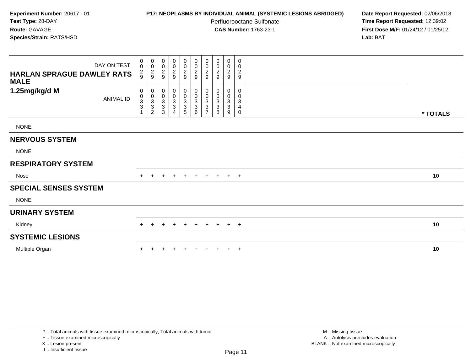# **P17: NEOPLASMS BY INDIVIDUAL ANIMAL (SYSTEMIC LESIONS ABRIDGED) Date Report Requested:** 02/06/2018

Perfluorooctane Sulfonate<br>CAS Number: 1763-23-1

 **Time Report Requested:** 12:39:02 **First Dose M/F:** 01/24/12 / 01/25/12<br>**Lab:** BAT **Lab:** BAT

| DAY ON TEST<br><b>HARLAN SPRAGUE DAWLEY RATS</b><br><b>MALE</b> | 0<br>$\mathbf 0$<br>$\frac{2}{9}$                           | $_{\rm 0}^{\rm 0}$<br>$\frac{2}{9}$                                                                  | 0<br>$\mathbf 0$<br>$\frac{2}{9}$             | $\begin{array}{c} 0 \\ 0 \\ 2 \\ 9 \end{array}$ | 0<br>$\frac{0}{2}$      | 0<br>$\frac{0}{2}$                      | 0<br>$\pmb{0}$<br>$\frac{2}{9}$                            | $\boldsymbol{0}$<br>$\pmb{0}$<br>$\overline{2}$<br>9 | 0<br>$\pmb{0}$<br>$\frac{2}{9}$             | 0<br>0<br>$\overline{c}$<br>$\boldsymbol{9}$ |          |
|-----------------------------------------------------------------|-------------------------------------------------------------|------------------------------------------------------------------------------------------------------|-----------------------------------------------|-------------------------------------------------|-------------------------|-----------------------------------------|------------------------------------------------------------|------------------------------------------------------|---------------------------------------------|----------------------------------------------|----------|
| 1.25mg/kg/d M<br><b>ANIMAL ID</b>                               | 0<br>$\pmb{0}$<br>$\ensuremath{\mathsf{3}}$<br>$\mathbf{3}$ | $\mathbf 0$<br>$\pmb{0}$<br>$\ensuremath{\mathsf{3}}$<br>$\ensuremath{\mathsf{3}}$<br>$\overline{c}$ | 0<br>$_3^0$<br>$\ensuremath{\mathsf{3}}$<br>3 | 0<br>$\frac{0}{3}$<br>3<br>4                    | 0<br>$\frac{0}{3}$<br>5 | $\mathbf 0$<br>$\frac{0}{3}$<br>$\,6\,$ | 0<br>0<br>$\ensuremath{\mathsf{3}}$<br>3<br>$\overline{ }$ | 0<br>0<br>3<br>3<br>8                                | 0<br>0<br>$\mathbf{3}$<br>$\mathbf{3}$<br>9 | 0<br>0<br>$\sqrt{3}$<br>4<br>0               | * TOTALS |
| <b>NONE</b>                                                     |                                                             |                                                                                                      |                                               |                                                 |                         |                                         |                                                            |                                                      |                                             |                                              |          |
| <b>NERVOUS SYSTEM</b>                                           |                                                             |                                                                                                      |                                               |                                                 |                         |                                         |                                                            |                                                      |                                             |                                              |          |
| <b>NONE</b>                                                     |                                                             |                                                                                                      |                                               |                                                 |                         |                                         |                                                            |                                                      |                                             |                                              |          |
| <b>RESPIRATORY SYSTEM</b>                                       |                                                             |                                                                                                      |                                               |                                                 |                         |                                         |                                                            |                                                      |                                             |                                              |          |
| Nose                                                            | $+$                                                         | $+$                                                                                                  | $\pm$                                         | $+$                                             | $+$                     | $+$                                     |                                                            | + + + +                                              |                                             |                                              | 10       |
| <b>SPECIAL SENSES SYSTEM</b>                                    |                                                             |                                                                                                      |                                               |                                                 |                         |                                         |                                                            |                                                      |                                             |                                              |          |
| <b>NONE</b>                                                     |                                                             |                                                                                                      |                                               |                                                 |                         |                                         |                                                            |                                                      |                                             |                                              |          |
| <b>URINARY SYSTEM</b>                                           |                                                             |                                                                                                      |                                               |                                                 |                         |                                         |                                                            |                                                      |                                             |                                              |          |
| Kidney                                                          | $+$                                                         |                                                                                                      |                                               | $+$                                             | $+$                     | $+$                                     | $+$                                                        | $+$                                                  | $+$                                         | $+$                                          | 10       |
| <b>SYSTEMIC LESIONS</b>                                         |                                                             |                                                                                                      |                                               |                                                 |                         |                                         |                                                            |                                                      |                                             |                                              |          |
| Multiple Organ                                                  |                                                             |                                                                                                      |                                               |                                                 |                         |                                         |                                                            | $+$                                                  | $\pm$                                       | $+$                                          | 10       |

+ .. Tissue examined microscopically

X .. Lesion present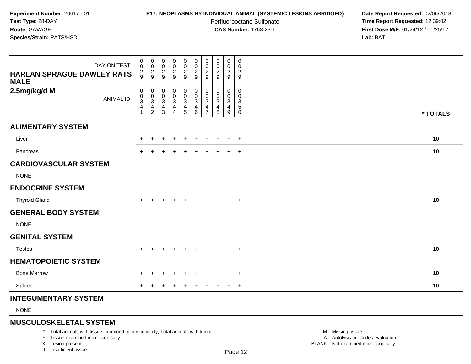# **P17: NEOPLASMS BY INDIVIDUAL ANIMAL (SYSTEMIC LESIONS ABRIDGED) Date Report Requested:** 02/06/2018

Perfluorooctane Sulfonate<br>CAS Number: 1763-23-1

 **Time Report Requested:** 12:39:02 **First Dose M/F:** 01/24/12 / 01/25/12<br>**Lab:** BAT **Lab:** BAT

|                                                  | $\pmb{0}$                                 | $\,0\,$                                     | $\pmb{0}$                      | $\pmb{0}$                                 |                                                 | $\pmb{0}$                             | 0                            | 0                              | $\mathbf 0$                 | $\mathsf{O}$       |          |  |
|--------------------------------------------------|-------------------------------------------|---------------------------------------------|--------------------------------|-------------------------------------------|-------------------------------------------------|---------------------------------------|------------------------------|--------------------------------|-----------------------------|--------------------|----------|--|
| DAY ON TEST                                      | $\boldsymbol{0}$                          | $\mathbf 0$                                 | $\mathbf 0$                    | $\pmb{0}$                                 | 00029                                           | $\pmb{0}$                             | 0                            | $\pmb{0}$                      | $\mathbf 0$                 | 0                  |          |  |
| <b>HARLAN SPRAGUE DAWLEY RATS</b><br><b>MALE</b> | $\frac{2}{9}$                             | $\frac{2}{9}$                               | $\frac{2}{9}$                  | $\frac{2}{9}$                             |                                                 | $\frac{2}{9}$                         | $\overline{\mathbf{c}}$<br>9 | $\frac{2}{9}$                  | $\frac{2}{9}$               | $\frac{2}{9}$      |          |  |
| 2.5mg/kg/d M                                     | 0                                         | 0                                           | $\pmb{0}$                      | $\mathbf 0$                               | $\mathbf 0$                                     | 0                                     | 0                            | 0                              | 0                           | 0                  |          |  |
| <b>ANIMAL ID</b>                                 | $\pmb{0}$<br>$\ensuremath{\mathsf{3}}$    | $\pmb{0}$<br>$\ensuremath{\mathsf{3}}$      | 0<br>$\ensuremath{\mathsf{3}}$ | $\frac{0}{3}$                             | $\begin{array}{c} 0 \\ 3 \\ 4 \\ 5 \end{array}$ | $\pmb{0}$<br>$\overline{3}$           | $\mathbf 0$<br>3             | 0<br>$\ensuremath{\mathsf{3}}$ | $\mathbf 0$<br>$\mathbf{3}$ | 0<br>$\frac{3}{5}$ |          |  |
|                                                  | $\overline{\mathbf{4}}$<br>$\overline{1}$ | $\overline{\mathbf{4}}$<br>$\boldsymbol{2}$ | $\overline{4}$<br>3            | $\overline{\mathbf{4}}$<br>$\overline{4}$ |                                                 | $\begin{array}{c} 4 \\ 6 \end{array}$ | 4<br>$\overline{7}$          | 4<br>8                         | $\overline{4}$<br>9         | $\pmb{0}$          | * TOTALS |  |
| <b>ALIMENTARY SYSTEM</b>                         |                                           |                                             |                                |                                           |                                                 |                                       |                              |                                |                             |                    |          |  |
| Liver                                            |                                           |                                             |                                |                                           |                                                 |                                       |                              |                                | $\ddot{}$                   | $\ddot{}$          | 10       |  |
| Pancreas                                         |                                           |                                             |                                | $\div$                                    | $\ddot{}$                                       | ÷                                     | ÷                            |                                | $\ddot{}$                   | $+$                | 10       |  |
| <b>CARDIOVASCULAR SYSTEM</b>                     |                                           |                                             |                                |                                           |                                                 |                                       |                              |                                |                             |                    |          |  |
| <b>NONE</b>                                      |                                           |                                             |                                |                                           |                                                 |                                       |                              |                                |                             |                    |          |  |
| <b>ENDOCRINE SYSTEM</b>                          |                                           |                                             |                                |                                           |                                                 |                                       |                              |                                |                             |                    |          |  |
| <b>Thyroid Gland</b>                             | $+$                                       | $\pm$                                       |                                |                                           | $\ddot{}$                                       |                                       | $\ddot{}$                    |                                | $+$                         | $+$                | 10       |  |
| <b>GENERAL BODY SYSTEM</b>                       |                                           |                                             |                                |                                           |                                                 |                                       |                              |                                |                             |                    |          |  |
| <b>NONE</b>                                      |                                           |                                             |                                |                                           |                                                 |                                       |                              |                                |                             |                    |          |  |
| <b>GENITAL SYSTEM</b>                            |                                           |                                             |                                |                                           |                                                 |                                       |                              |                                |                             |                    |          |  |
| <b>Testes</b>                                    | $+$                                       | ÷                                           |                                | $\ddot{}$                                 | $\ddot{}$                                       | $\ddot{}$                             | $\pm$                        | $\pm$                          | $+$                         | $+$                | 10       |  |
| <b>HEMATOPOIETIC SYSTEM</b>                      |                                           |                                             |                                |                                           |                                                 |                                       |                              |                                |                             |                    |          |  |
| <b>Bone Marrow</b>                               |                                           |                                             |                                | $\div$                                    |                                                 | ÷                                     | ÷                            |                                | $\ddot{}$                   | $+$                | 10       |  |
| Spleen                                           | $\pm$                                     | ÷                                           | $\pm$                          | $\ddot{}$                                 | $\pm$                                           | $\ddot{}$                             | $\pm$                        | $+$                            | $+$                         | $+$                | 10       |  |
| <b>INTEGUMENTARY SYSTEM</b>                      |                                           |                                             |                                |                                           |                                                 |                                       |                              |                                |                             |                    |          |  |

NONE

# **MUSCULOSKELETAL SYSTEM**

\* .. Total animals with tissue examined microscopically; Total animals with tumor

+ .. Tissue examined microscopically

X .. Lesion present

I .. Insufficient tissue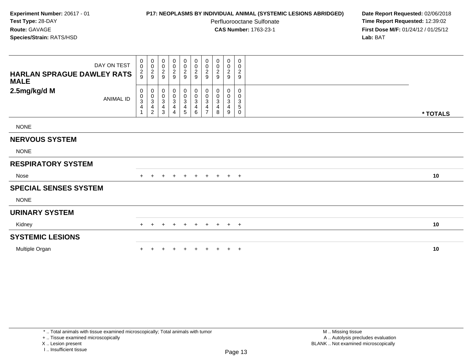# **P17: NEOPLASMS BY INDIVIDUAL ANIMAL (SYSTEMIC LESIONS ABRIDGED) Date Report Requested:** 02/06/2018

Perfluorooctane Sulfonate<br>CAS Number: 1763-23-1

 **Time Report Requested:** 12:39:02 **First Dose M/F:** 01/24/12 / 01/25/12<br>**Lab:** BAT **Lab:** BAT

| DAY ON TEST<br><b>HARLAN SPRAGUE DAWLEY RATS</b><br><b>MALE</b> | 0<br>$\pmb{0}$<br>$\frac{2}{9}$                                             | $\begin{smallmatrix} 0\\0 \end{smallmatrix}$<br>$\frac{2}{9}$      | $\begin{array}{c} 0 \\ 0 \\ 2 \\ 9 \end{array}$ | $\begin{array}{c} 0 \\ 0 \\ 2 \\ 9 \end{array}$           | $\begin{array}{c} 0 \\ 0 \\ 2 \\ 9 \end{array}$                  | 00029                                                             | 0<br>$\pmb{0}$<br>$\frac{2}{9}$                            | 0<br>$\pmb{0}$<br>$\boldsymbol{2}$<br>9                 | 0<br>$\mathbf 0$<br>$\frac{2}{9}$ | 0<br>0<br>$\overline{c}$<br>$9\,$                       |          |  |
|-----------------------------------------------------------------|-----------------------------------------------------------------------------|--------------------------------------------------------------------|-------------------------------------------------|-----------------------------------------------------------|------------------------------------------------------------------|-------------------------------------------------------------------|------------------------------------------------------------|---------------------------------------------------------|-----------------------------------|---------------------------------------------------------|----------|--|
| 2.5mg/kg/d M<br><b>ANIMAL ID</b>                                | 0<br>$\pmb{0}$<br>$\ensuremath{\mathsf{3}}$<br>$\overline{\mathbf{4}}$<br>1 | 0<br>$\pmb{0}$<br>$\ensuremath{\mathsf{3}}$<br>4<br>$\overline{c}$ | 0<br>$_{3}^{\rm 0}$<br>4<br>3                   | $\begin{smallmatrix} 0\\0\\3 \end{smallmatrix}$<br>4<br>4 | 0<br>$_{3}^{\rm 0}$<br>$\overline{\mathbf{4}}$<br>$\overline{5}$ | $\pmb{0}$<br>$_{3}^{\rm 0}$<br>$\overline{\mathbf{4}}$<br>$\,6\,$ | 0<br>0<br>$\ensuremath{\mathsf{3}}$<br>4<br>$\overline{z}$ | 0<br>$\mathbf 0$<br>$\ensuremath{\mathsf{3}}$<br>4<br>8 | $\mathbf{0}$<br>0<br>3<br>4<br>9  | $\mathbf 0$<br>0<br>$\ensuremath{\mathsf{3}}$<br>5<br>0 | * TOTALS |  |
| <b>NONE</b>                                                     |                                                                             |                                                                    |                                                 |                                                           |                                                                  |                                                                   |                                                            |                                                         |                                   |                                                         |          |  |
| <b>NERVOUS SYSTEM</b>                                           |                                                                             |                                                                    |                                                 |                                                           |                                                                  |                                                                   |                                                            |                                                         |                                   |                                                         |          |  |
| <b>NONE</b>                                                     |                                                                             |                                                                    |                                                 |                                                           |                                                                  |                                                                   |                                                            |                                                         |                                   |                                                         |          |  |
| <b>RESPIRATORY SYSTEM</b>                                       |                                                                             |                                                                    |                                                 |                                                           |                                                                  |                                                                   |                                                            |                                                         |                                   |                                                         |          |  |
| Nose                                                            | $+$                                                                         | $\pm$                                                              |                                                 | $\ddot{}$                                                 | $+$                                                              | $+$                                                               | $+$                                                        | $+$                                                     | $+$ $+$                           |                                                         | 10       |  |
| <b>SPECIAL SENSES SYSTEM</b>                                    |                                                                             |                                                                    |                                                 |                                                           |                                                                  |                                                                   |                                                            |                                                         |                                   |                                                         |          |  |
| <b>NONE</b>                                                     |                                                                             |                                                                    |                                                 |                                                           |                                                                  |                                                                   |                                                            |                                                         |                                   |                                                         |          |  |
| <b>URINARY SYSTEM</b>                                           |                                                                             |                                                                    |                                                 |                                                           |                                                                  |                                                                   |                                                            |                                                         |                                   |                                                         |          |  |
| Kidney                                                          | $+$                                                                         | $\div$                                                             | ÷                                               | $+$                                                       | $\ddot{}$                                                        | $+$                                                               | $+$                                                        | $+$                                                     | $+$                               | $+$                                                     | 10       |  |
| <b>SYSTEMIC LESIONS</b>                                         |                                                                             |                                                                    |                                                 |                                                           |                                                                  |                                                                   |                                                            |                                                         |                                   |                                                         |          |  |
| Multiple Organ                                                  |                                                                             |                                                                    |                                                 | $\ddot{}$                                                 | $\pm$                                                            |                                                                   | $\ddot{}$                                                  | $+$                                                     | $+$                               | $+$                                                     | 10       |  |

+ .. Tissue examined microscopically

X .. Lesion present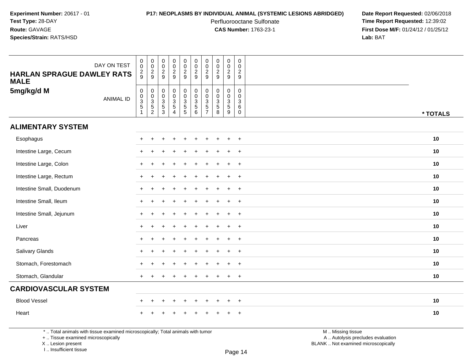## **P17: NEOPLASMS BY INDIVIDUAL ANIMAL (SYSTEMIC LESIONS ABRIDGED) Date Report Requested:** 02/06/2018

Perfluorooctane Sulfonate<br>CAS Number: 1763-23-1

 **Time Report Requested:** 12:39:02 **First Dose M/F:** 01/24/12 / 01/25/12<br>**Lab:** BAT **Lab:** BAT

| DAY ON TEST<br><b>HARLAN SPRAGUE DAWLEY RATS</b><br><b>MALE</b> | $\begin{smallmatrix} 0\\0 \end{smallmatrix}$<br>$\frac{2}{9}$   | $_{\rm 0}^{\rm 0}$<br>$\frac{2}{9}$                            | $\,0\,$<br>$\overline{0}$<br>$\frac{2}{9}$                              | $\pmb{0}$<br>$\ddot{\mathbf{0}}$<br>$\frac{2}{9}$                 | $\pmb{0}$<br>$\ddot{\mathbf{0}}$<br>$\frac{2}{9}$ | 00029                 | $\mathbf 0$<br>$\frac{0}{2}$                                  | $\mathsf 0$<br>$\ddot{\mathbf{0}}$<br>$\frac{2}{9}$                        | $\pmb{0}$<br>$\ddot{\mathbf{0}}$<br>$\frac{2}{9}$              | $\mathbf 0$<br>$\mathbf 0$<br>$\overline{c}$<br>9   |          |
|-----------------------------------------------------------------|-----------------------------------------------------------------|----------------------------------------------------------------|-------------------------------------------------------------------------|-------------------------------------------------------------------|---------------------------------------------------|-----------------------|---------------------------------------------------------------|----------------------------------------------------------------------------|----------------------------------------------------------------|-----------------------------------------------------|----------|
| 5mg/kg/d M<br><b>ANIMAL ID</b>                                  | $\begin{array}{c} 0 \\ 0 \\ 3 \\ 5 \end{array}$<br>$\mathbf{1}$ | $\mathbf 0$<br>$\begin{array}{c} 0 \\ 3 \\ 5 \\ 2 \end{array}$ | $\pmb{0}$<br>$\begin{array}{c} 0 \\ 3 \\ 5 \end{array}$<br>$\mathbf{3}$ | $\begin{array}{c} 0 \\ 0 \\ 3 \\ 5 \end{array}$<br>$\overline{4}$ | 0<br>0<br>3<br>5<br>5<br>5                        | 0<br>0<br>0<br>5<br>6 | $\mathbf 0$<br>$\mathbf 0$<br>$\frac{3}{5}$<br>$\overline{7}$ | $\mathbf 0$<br>$\mathbf 0$<br>$\ensuremath{\mathsf{3}}$<br>$\sqrt{5}$<br>8 | $\pmb{0}$<br>$\begin{array}{c}\n0 \\ 0 \\ 3 \\ 5\n\end{array}$ | $\mathbf 0$<br>$\mathbf 0$<br>3<br>6<br>$\mathbf 0$ | * TOTALS |
| <b>ALIMENTARY SYSTEM</b>                                        |                                                                 |                                                                |                                                                         |                                                                   |                                                   |                       |                                                               |                                                                            |                                                                |                                                     |          |
| Esophagus                                                       |                                                                 | ÷                                                              |                                                                         |                                                                   |                                                   |                       |                                                               |                                                                            | $\ddot{}$                                                      | $\overline{+}$                                      | 10       |
| Intestine Large, Cecum                                          |                                                                 |                                                                |                                                                         |                                                                   |                                                   |                       |                                                               |                                                                            | ÷                                                              | $\ddot{}$                                           | 10       |
| Intestine Large, Colon                                          |                                                                 |                                                                |                                                                         |                                                                   |                                                   |                       |                                                               |                                                                            | $\ddot{}$                                                      | $\overline{+}$                                      | 10       |
| Intestine Large, Rectum                                         |                                                                 |                                                                |                                                                         |                                                                   |                                                   |                       |                                                               |                                                                            |                                                                | $\overline{+}$                                      | 10       |
| Intestine Small, Duodenum                                       | $\div$                                                          | $\ddot{}$                                                      |                                                                         |                                                                   |                                                   |                       |                                                               |                                                                            | $\ddot{}$                                                      | $\overline{+}$                                      | 10       |
| Intestine Small, Ileum                                          |                                                                 |                                                                |                                                                         |                                                                   |                                                   |                       |                                                               |                                                                            | $\div$                                                         | $+$                                                 | 10       |
| Intestine Small, Jejunum                                        | $\div$                                                          |                                                                |                                                                         |                                                                   |                                                   |                       |                                                               |                                                                            | $\ddot{}$                                                      | $+$                                                 | 10       |
| Liver                                                           |                                                                 |                                                                |                                                                         |                                                                   |                                                   |                       |                                                               |                                                                            | $\ddot{}$                                                      | $\overline{+}$                                      | 10       |
| Pancreas                                                        | $+$                                                             |                                                                |                                                                         |                                                                   |                                                   |                       |                                                               |                                                                            | $\ddot{}$                                                      | $\overline{+}$                                      | 10       |
| Salivary Glands                                                 |                                                                 |                                                                |                                                                         |                                                                   |                                                   |                       |                                                               |                                                                            |                                                                | $\ddot{}$                                           | 10       |
| Stomach, Forestomach                                            |                                                                 |                                                                |                                                                         |                                                                   |                                                   |                       |                                                               |                                                                            | $\ddot{}$                                                      | $\overline{+}$                                      | 10       |
| Stomach, Glandular                                              |                                                                 |                                                                |                                                                         |                                                                   |                                                   |                       |                                                               |                                                                            |                                                                | $\overline{ }$                                      | 10       |
| <b>CARDIOVASCULAR SYSTEM</b>                                    |                                                                 |                                                                |                                                                         |                                                                   |                                                   |                       |                                                               |                                                                            |                                                                |                                                     |          |
| <b>Blood Vessel</b>                                             |                                                                 |                                                                |                                                                         |                                                                   |                                                   |                       |                                                               |                                                                            |                                                                | $\overline{1}$                                      | 10       |
| Heart                                                           |                                                                 |                                                                |                                                                         |                                                                   |                                                   |                       |                                                               |                                                                            |                                                                | $\pm$                                               | 10       |

\* .. Total animals with tissue examined microscopically; Total animals with tumor

+ .. Tissue examined microscopically

X .. Lesion present

I .. Insufficient tissue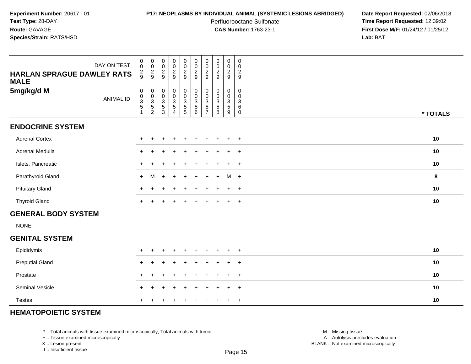## **P17: NEOPLASMS BY INDIVIDUAL ANIMAL (SYSTEMIC LESIONS ABRIDGED) Date Report Requested:** 02/06/2018

Perfluorooctane Sulfonate<br>CAS Number: 1763-23-1

 **Time Report Requested:** 12:39:02 **First Dose M/F:** 01/24/12 / 01/25/12<br>**Lab:** BAT **Lab:** BAT

| DAY ON TEST<br><b>HARLAN SPRAGUE DAWLEY RATS</b><br><b>MALE</b> | $\begin{matrix} 0 \\ 0 \end{matrix}$<br>$\frac{2}{9}$ | $\begin{matrix} 0 \\ 0 \end{matrix}$<br>$\frac{2}{9}$ | $\begin{matrix} 0 \\ 0 \end{matrix}$<br>$\overline{c}$<br>9        | 00029                                                                                   | $\begin{array}{c} 0 \\ 0 \\ 2 \\ 9 \end{array}$             | $\begin{matrix} 0 \\ 0 \\ 2 \end{matrix}$<br>$\overline{9}$ | $\begin{smallmatrix} 0 \\ 0 \\ 2 \\ 9 \end{smallmatrix}$                                   | $\begin{matrix} 0 \\ 0 \\ 2 \end{matrix}$<br>9                   | 0<br>$_2^0$<br>9                                   | $\boldsymbol{0}$<br>$\mathbf 0$<br>$\overline{c}$<br>9  |          |
|-----------------------------------------------------------------|-------------------------------------------------------|-------------------------------------------------------|--------------------------------------------------------------------|-----------------------------------------------------------------------------------------|-------------------------------------------------------------|-------------------------------------------------------------|--------------------------------------------------------------------------------------------|------------------------------------------------------------------|----------------------------------------------------|---------------------------------------------------------|----------|
| 5mg/kg/d M<br><b>ANIMAL ID</b>                                  | 0<br>$\frac{0}{3}$                                    | $_{\rm 0}^{\rm 0}$<br>$\frac{3}{5}$<br>$\overline{c}$ | $\pmb{0}$<br>$\overline{0}$<br>$\ensuremath{\mathsf{3}}$<br>5<br>3 | $\begin{smallmatrix}0\0\0\end{smallmatrix}$<br>$\frac{3}{5}$<br>$\overline{\mathbf{4}}$ | $\begin{smallmatrix} 0\\0 \end{smallmatrix}$<br>$rac{3}{5}$ | $_{\rm 0}^{\rm 0}$<br>$\overline{3}$<br>$\sqrt{5}$<br>6     | $\begin{smallmatrix} 0\\0 \end{smallmatrix}$<br>$\sqrt{3}$<br>$\sqrt{5}$<br>$\overline{7}$ | $\pmb{0}$<br>$\overline{0}$<br>$\overline{3}$<br>$\sqrt{5}$<br>8 | 0<br>$\ddot{\mathbf{0}}$<br>$\mathbf{3}$<br>5<br>9 | 0<br>$\Omega$<br>$\mathbf{3}$<br>$\,6\,$<br>$\mathbf 0$ | * TOTALS |
| <b>ENDOCRINE SYSTEM</b>                                         |                                                       |                                                       |                                                                    |                                                                                         |                                                             |                                                             |                                                                                            |                                                                  |                                                    |                                                         |          |
| <b>Adrenal Cortex</b>                                           |                                                       |                                                       |                                                                    | $\ddot{}$                                                                               | $\ddot{}$                                                   | $\ddot{}$                                                   | $\pm$                                                                                      | $\ddot{}$                                                        | $+$                                                | $+$                                                     | 10       |
| Adrenal Medulla                                                 |                                                       |                                                       |                                                                    |                                                                                         |                                                             |                                                             |                                                                                            |                                                                  | ÷                                                  | $\overline{+}$                                          | 10       |
| Islets, Pancreatic                                              |                                                       |                                                       |                                                                    |                                                                                         |                                                             |                                                             |                                                                                            |                                                                  |                                                    | $\ddot{}$                                               | 10       |
| Parathyroid Gland                                               | $+$                                                   | M                                                     | $\div$                                                             | $\ddot{}$                                                                               |                                                             | $\div$                                                      |                                                                                            | $\ddot{}$                                                        | $M +$                                              |                                                         | 8        |
| <b>Pituitary Gland</b>                                          |                                                       |                                                       |                                                                    |                                                                                         |                                                             |                                                             |                                                                                            |                                                                  | $\ddot{}$                                          | $+$                                                     | 10       |
| <b>Thyroid Gland</b>                                            | $\pm$                                                 |                                                       |                                                                    |                                                                                         |                                                             |                                                             |                                                                                            |                                                                  | $\ddot{}$                                          | $+$                                                     | 10       |
| <b>GENERAL BODY SYSTEM</b>                                      |                                                       |                                                       |                                                                    |                                                                                         |                                                             |                                                             |                                                                                            |                                                                  |                                                    |                                                         |          |
| <b>NONE</b>                                                     |                                                       |                                                       |                                                                    |                                                                                         |                                                             |                                                             |                                                                                            |                                                                  |                                                    |                                                         |          |
| <b>GENITAL SYSTEM</b>                                           |                                                       |                                                       |                                                                    |                                                                                         |                                                             |                                                             |                                                                                            |                                                                  |                                                    |                                                         |          |
| Epididymis                                                      | $+$                                                   | $\ddot{}$                                             |                                                                    | $\ddot{}$                                                                               | $\ddot{}$                                                   | $\pm$                                                       | $\pm$                                                                                      | $\div$                                                           | $\ddot{}$                                          | $^{+}$                                                  | 10       |
| <b>Preputial Gland</b>                                          | $\pm$                                                 |                                                       |                                                                    |                                                                                         | ÷.                                                          | $\ddot{}$                                                   |                                                                                            | $\div$                                                           | $\pm$                                              | $+$                                                     | 10       |
| Prostate                                                        |                                                       |                                                       |                                                                    |                                                                                         |                                                             |                                                             |                                                                                            |                                                                  | $\ddot{}$                                          | $+$                                                     | 10       |
|                                                                 |                                                       |                                                       |                                                                    |                                                                                         |                                                             |                                                             |                                                                                            |                                                                  |                                                    |                                                         |          |

# **HEMATOPOIETIC SYSTEM**

Seminal Vesicle

Testes

\* .. Total animals with tissue examined microscopically; Total animals with tumor

+ .. Tissue examined microscopically

<sup>+</sup>

 $e$  +

X .. Lesion present

I .. Insufficient tissue

 M .. Missing tissuey the contract of the contract of the contract of the contract of the contract of  $\mathsf A$  . Autolysis precludes evaluation Lesion present BLANK .. Not examined microscopically

<sup>+</sup> <sup>+</sup> <sup>+</sup> <sup>+</sup> <sup>+</sup> <sup>+</sup> <sup>+</sup> <sup>+</sup> <sup>+</sup> **<sup>10</sup>**

<sup>+</sup> <sup>+</sup> <sup>+</sup> <sup>+</sup> <sup>+</sup> <sup>+</sup> <sup>+</sup> <sup>+</sup> <sup>+</sup> **<sup>10</sup>**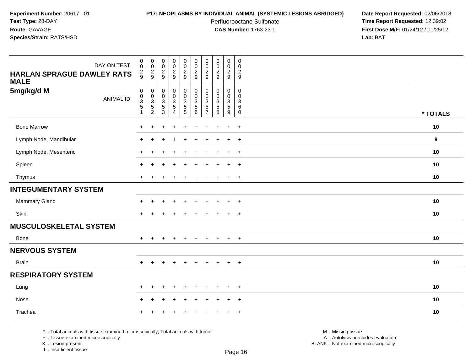## **P17: NEOPLASMS BY INDIVIDUAL ANIMAL (SYSTEMIC LESIONS ABRIDGED) Date Report Requested:** 02/06/2018

Perfluorooctane Sulfonate<br>CAS Number: 1763-23-1

 **Time Report Requested:** 12:39:02 **First Dose M/F:** 01/24/12 / 01/25/12<br>**Lab:** BAT **Lab:** BAT

| DAY ON TEST<br><b>HARLAN SPRAGUE DAWLEY RATS</b><br><b>MALE</b> | $\boldsymbol{0}$<br>$\mathbf 0$<br>$\frac{2}{9}$           | $\begin{array}{c} 0 \\ 0 \\ 2 \\ 9 \end{array}$                     | $\begin{array}{c} 0 \\ 0 \\ 2 \\ 9 \end{array}$       | $\pmb{0}$<br>$\pmb{0}$<br>$\frac{2}{9}$                                               | $\boldsymbol{0}$<br>$\mathbf 0$<br>$\frac{2}{9}$                    | $\pmb{0}$<br>$\pmb{0}$<br>$\overline{2}$<br>9                 | $\pmb{0}$<br>$\pmb{0}$<br>$\overline{2}$<br>9                               | 00029                                             | $\mathbf 0$<br>$\mathbf 0$<br>$\frac{2}{9}$                   | $\pmb{0}$<br>$\mathbf 0$<br>$\overline{c}$<br>$\boldsymbol{9}$ |          |
|-----------------------------------------------------------------|------------------------------------------------------------|---------------------------------------------------------------------|-------------------------------------------------------|---------------------------------------------------------------------------------------|---------------------------------------------------------------------|---------------------------------------------------------------|-----------------------------------------------------------------------------|---------------------------------------------------|---------------------------------------------------------------|----------------------------------------------------------------|----------|
| 5mg/kg/d M<br><b>ANIMAL ID</b>                                  | $\mathsf{O}$<br>$\pmb{0}$<br>$\frac{3}{5}$<br>$\mathbf{1}$ | $\boldsymbol{0}$<br>$\begin{array}{c} 0 \\ 3 \\ 5 \\ 2 \end{array}$ | $_{\rm 0}^{\rm 0}$<br>$\frac{3}{5}$<br>$\overline{3}$ | $\mathbf 0$<br>$\pmb{0}$<br>$\ensuremath{\mathsf{3}}$<br>$\sqrt{5}$<br>$\overline{4}$ | $\pmb{0}$<br>$\ddot{\mathbf{0}}$<br>$\frac{3}{5}$<br>$\overline{5}$ | $\pmb{0}$<br>$\pmb{0}$<br>$\ensuremath{\mathsf{3}}$<br>5<br>6 | $\mathbf 0$<br>$\Omega$<br>$\ensuremath{\mathsf{3}}$<br>5<br>$\overline{7}$ | 0<br>$\pmb{0}$<br>$\frac{3}{5}$<br>$\overline{8}$ | $\mathbf 0$<br>$\mathbf 0$<br>$\frac{3}{5}$<br>$\overline{9}$ | $\mathbf 0$<br>$\mathbf 0$<br>$\sqrt{3}$<br>6<br>$\mathbf 0$   | * TOTALS |
| <b>Bone Marrow</b>                                              | $\ddot{}$                                                  | +                                                                   | $\ddot{}$                                             | $\ddot{}$                                                                             | $\ddot{}$                                                           | ÷                                                             | $\ddot{}$                                                                   | $\ddot{}$                                         | $+$                                                           | $+$                                                            | 10       |
| Lymph Node, Mandibular                                          | $\ddot{}$                                                  | $\pm$                                                               |                                                       |                                                                                       | $\div$                                                              | ÷                                                             |                                                                             | $\mathbf +$                                       | $\ddot{}$                                                     | $+$                                                            | 9        |
| Lymph Node, Mesenteric                                          | $\div$                                                     |                                                                     |                                                       |                                                                                       |                                                                     |                                                               |                                                                             |                                                   | $\ddot{}$                                                     | $\overline{+}$                                                 | 10       |
| Spleen                                                          | $\div$                                                     |                                                                     |                                                       |                                                                                       |                                                                     |                                                               |                                                                             |                                                   | $\div$                                                        | $+$                                                            | 10       |
| Thymus                                                          | $\ddot{}$                                                  | $\pm$                                                               | $\overline{+}$                                        | $\ddot{}$                                                                             | $\ddot{}$                                                           | ÷.                                                            |                                                                             | $\ddot{}$                                         | $+$                                                           | $+$                                                            | 10       |
| <b>INTEGUMENTARY SYSTEM</b>                                     |                                                            |                                                                     |                                                       |                                                                                       |                                                                     |                                                               |                                                                             |                                                   |                                                               |                                                                |          |
| Mammary Gland                                                   | $\ddot{}$                                                  | $\pm$                                                               | $\div$                                                | $\ddot{}$                                                                             |                                                                     | ÷                                                             |                                                                             | $\mathbf +$                                       | $\ddot{}$                                                     | $+$                                                            | 10       |
| Skin                                                            | $\ddot{}$                                                  |                                                                     |                                                       |                                                                                       |                                                                     |                                                               |                                                                             |                                                   | $\ddot{}$                                                     | $+$                                                            | 10       |
| <b>MUSCULOSKELETAL SYSTEM</b>                                   |                                                            |                                                                     |                                                       |                                                                                       |                                                                     |                                                               |                                                                             |                                                   |                                                               |                                                                |          |
| Bone                                                            | $\ddot{}$                                                  | $\ddot{}$                                                           | $\ddot{}$                                             | $\ddot{}$                                                                             | $\ddot{}$                                                           | $\ddot{}$                                                     | ÷                                                                           | $\overline{+}$                                    | $\ddot{}$                                                     | $+$                                                            | 10       |
| <b>NERVOUS SYSTEM</b>                                           |                                                            |                                                                     |                                                       |                                                                                       |                                                                     |                                                               |                                                                             |                                                   |                                                               |                                                                |          |
| <b>Brain</b>                                                    | $\ddot{}$                                                  | $\pm$                                                               | $\overline{ }$                                        | $\ddot{}$                                                                             | $\ddot{}$                                                           | $\div$                                                        | $\div$                                                                      | $\overline{+}$                                    | $+$                                                           | $+$                                                            | 10       |
| <b>RESPIRATORY SYSTEM</b>                                       |                                                            |                                                                     |                                                       |                                                                                       |                                                                     |                                                               |                                                                             |                                                   |                                                               |                                                                |          |
| Lung                                                            | $\ddot{}$                                                  | $\pm$                                                               |                                                       | $\ddot{}$                                                                             | $\ddot{}$                                                           | ÷                                                             |                                                                             | $\mathbf +$                                       | $\ddot{}$                                                     | $+$                                                            | 10       |
| Nose                                                            | $\ddot{}$                                                  | $+$                                                                 | $\overline{1}$                                        | $\ddot{}$                                                                             | $\ddot{}$                                                           | ÷                                                             |                                                                             | $\ddot{}$                                         | $\overline{+}$                                                | $+$                                                            | 10       |
| Trachea                                                         |                                                            |                                                                     |                                                       |                                                                                       |                                                                     |                                                               |                                                                             |                                                   | $\ddot{}$                                                     | $+$                                                            | 10       |

\* .. Total animals with tissue examined microscopically; Total animals with tumor

+ .. Tissue examined microscopically

X .. Lesion present

I .. Insufficient tissue

M .. Missing tissue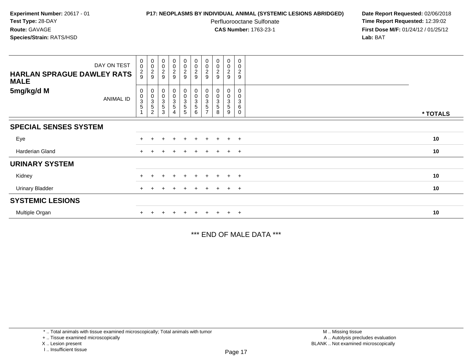## **P17: NEOPLASMS BY INDIVIDUAL ANIMAL (SYSTEMIC LESIONS ABRIDGED) Date Report Requested:** 02/06/2018

Perfluorooctane Sulfonate<br>CAS Number: 1763-23-1

 **Time Report Requested:** 12:39:02 **First Dose M/F:** 01/24/12 / 01/25/12<br>**Lab:** BAT **Lab:** BAT

| DAY ON TEST<br><b>HARLAN SPRAGUE DAWLEY RATS</b><br><b>MALE</b> | $\begin{smallmatrix}0\\0\end{smallmatrix}$<br>$\frac{2}{9}$ | $\begin{array}{c} 0 \\ 0 \\ 2 \\ 9 \end{array}$                                 | 00029                                                         | $\begin{array}{c} 0 \\ 0 \\ 2 \\ 9 \end{array}$              | $\pmb{0}$<br>$\frac{0}{2}$                                                   | $\begin{array}{c} 0 \\ 0 \\ 2 \\ 9 \end{array}$                          | $\pmb{0}$<br>$\pmb{0}$<br>$\frac{2}{9}$ | $\begin{smallmatrix} 0\\0 \end{smallmatrix}$<br>$\frac{2}{9}$ | $_{\rm 0}^{\rm 0}$<br>$\frac{2}{9}$ | 0<br>0<br>$\boldsymbol{2}$<br>$\boldsymbol{9}$ |          |
|-----------------------------------------------------------------|-------------------------------------------------------------|---------------------------------------------------------------------------------|---------------------------------------------------------------|--------------------------------------------------------------|------------------------------------------------------------------------------|--------------------------------------------------------------------------|-----------------------------------------|---------------------------------------------------------------|-------------------------------------|------------------------------------------------|----------|
| 5mg/kg/d M<br>ANIMAL ID                                         | 0<br>$\boldsymbol{0}$<br>$\ensuremath{\mathsf{3}}$<br>5     | $\begin{smallmatrix} 0\\0\\3 \end{smallmatrix}$<br>$\sqrt{5}$<br>$\overline{2}$ | $\begin{matrix} 0 \\ 0 \\ 3 \end{matrix}$<br>$\mathbf 5$<br>3 | $\begin{matrix} 0 \\ 0 \\ 3 \end{matrix}$<br>$\sqrt{5}$<br>4 | $\pmb{0}$<br>$\mathbf 0$<br>$\ensuremath{\mathsf{3}}$<br>$\overline{5}$<br>5 | $\begin{smallmatrix} 0\\0 \end{smallmatrix}$<br>$\overline{3}$<br>5<br>6 | 0<br>3<br>5                             | 0<br>$\mathbf 0$<br>3<br>5<br>8                               | 0<br>$\pmb{0}$<br>3<br>5<br>9       | 0<br>0<br>3<br>6<br>0                          | * TOTALS |
| <b>SPECIAL SENSES SYSTEM</b>                                    |                                                             |                                                                                 |                                                               |                                                              |                                                                              |                                                                          |                                         |                                                               |                                     |                                                |          |
| Eye                                                             | $+$                                                         | $\pm$                                                                           | $+$                                                           | $+$                                                          | $+$                                                                          | $+$                                                                      | $+$                                     | $+$                                                           | $+$                                 | $+$                                            | 10       |
| Harderian Gland                                                 | $+$                                                         |                                                                                 |                                                               | $\pm$                                                        | $+$                                                                          | $+$                                                                      | $+$                                     | $+$                                                           | $+$                                 | $+$                                            | 10       |
| <b>URINARY SYSTEM</b>                                           |                                                             |                                                                                 |                                                               |                                                              |                                                                              |                                                                          |                                         |                                                               |                                     |                                                |          |
| Kidney                                                          | $+$                                                         | $\pm$                                                                           | $\pm$                                                         | $\pm$                                                        | $\pm$                                                                        | $+$                                                                      | $\pm$                                   | $\div$                                                        | $+$                                 | $+$                                            | 10       |
| <b>Urinary Bladder</b>                                          | $+$                                                         | $\pm$                                                                           | $\pm$                                                         | $^{+}$                                                       | $\pm$                                                                        | $+$                                                                      | $\pm$                                   | $+$                                                           | $+$                                 | $+$                                            | 10       |
| <b>SYSTEMIC LESIONS</b>                                         |                                                             |                                                                                 |                                                               |                                                              |                                                                              |                                                                          |                                         |                                                               |                                     |                                                |          |
| Multiple Organ                                                  |                                                             |                                                                                 |                                                               | $\ddot{}$                                                    |                                                                              | $\ddot{}$                                                                | $+$                                     |                                                               | $\pm$                               | $+$                                            | 10       |

\*\*\* END OF MALE DATA \*\*\*

<sup>\* ..</sup> Total animals with tissue examined microscopically; Total animals with tumor

<sup>+ ..</sup> Tissue examined microscopically

X .. Lesion present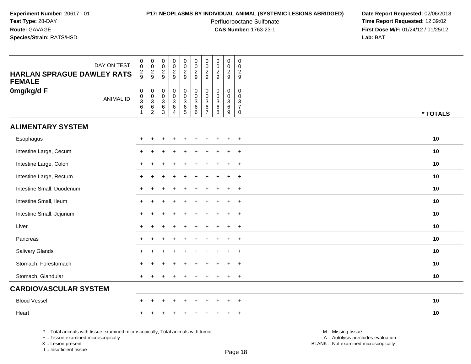## **P17: NEOPLASMS BY INDIVIDUAL ANIMAL (SYSTEMIC LESIONS ABRIDGED) Date Report Requested:** 02/06/2018

Perfluorooctane Sulfonate<br>CAS Number: 1763-23-1

 **Time Report Requested:** 12:39:02 **First Dose M/F:** 01/24/12 / 01/25/12<br>**Lab:** BAT **Lab:** BAT

| DAY ON TEST<br><b>HARLAN SPRAGUE DAWLEY RATS</b><br><b>FEMALE</b> | $\begin{smallmatrix} 0\\0 \end{smallmatrix}$<br>$\frac{2}{9}$ | $\begin{array}{c} 0 \\ 0 \\ 2 \\ 9 \end{array}$ | $\pmb{0}$<br>$\overline{0}$<br>$\frac{2}{9}$ | $\pmb{0}$<br>$\ddot{\mathbf{0}}$<br>$\frac{2}{9}$        | $\pmb{0}$<br>$\mathbf 0$<br>$\frac{2}{9}$ | $\pmb{0}$<br>$\frac{0}{2}$                          | $\pmb{0}$<br>$\mathsf{O}\xspace$<br>$\frac{2}{9}$      | $\begin{array}{c} 0 \\ 0 \\ 2 \\ 9 \end{array}$          | $\mathsf 0$<br>$\ddot{\mathbf{0}}$<br>$\frac{2}{9}$            | $\mathbf 0$<br>$\Omega$<br>$\overline{2}$<br>9                              |          |
|-------------------------------------------------------------------|---------------------------------------------------------------|-------------------------------------------------|----------------------------------------------|----------------------------------------------------------|-------------------------------------------|-----------------------------------------------------|--------------------------------------------------------|----------------------------------------------------------|----------------------------------------------------------------|-----------------------------------------------------------------------------|----------|
| 0mg/kg/d F<br><b>ANIMAL ID</b>                                    | $\begin{matrix}0\\0\\3\\6\end{matrix}$<br>$\overline{1}$      | 0<br>0<br>0<br>0<br>0<br>2                      | 0<br>0<br>3<br>6<br>3                        | $\begin{matrix}0\\0\\3\\6\end{matrix}$<br>$\overline{4}$ | $_{\rm 0}^{\rm 0}$<br>3<br>$\frac{6}{5}$  | $\begin{matrix} 0 \\ 0 \\ 3 \\ 6 \end{matrix}$<br>6 | $\mathbf 0$<br>$\mathbf 0$<br>$^3$ 6<br>$\overline{7}$ | $\mathbf 0$<br>$\ddot{\mathbf{0}}$<br>$\frac{3}{6}$<br>8 | $\mathbf 0$<br>$\begin{array}{c} 0 \\ 3 \\ 6 \\ 9 \end{array}$ | $\mathbf 0$<br>$\mathbf 0$<br>$\mathbf{3}$<br>$\overline{7}$<br>$\mathbf 0$ | * TOTALS |
| <b>ALIMENTARY SYSTEM</b>                                          |                                                               |                                                 |                                              |                                                          |                                           |                                                     |                                                        |                                                          |                                                                |                                                                             |          |
| Esophagus                                                         | $\pm$                                                         |                                                 |                                              |                                                          |                                           |                                                     |                                                        |                                                          | $+$                                                            | $+$                                                                         | 10       |
| Intestine Large, Cecum                                            |                                                               |                                                 |                                              |                                                          |                                           |                                                     |                                                        |                                                          | $\ddot{}$                                                      | $+$                                                                         | 10       |
| Intestine Large, Colon                                            | $\pm$                                                         |                                                 |                                              |                                                          |                                           |                                                     |                                                        | $\div$                                                   | $\pm$                                                          | $+$                                                                         | 10       |
| Intestine Large, Rectum                                           | $\ddot{}$                                                     |                                                 |                                              |                                                          |                                           |                                                     |                                                        |                                                          | $\ddot{}$                                                      | $+$                                                                         | 10       |
| Intestine Small, Duodenum                                         | $\pm$                                                         |                                                 |                                              |                                                          |                                           |                                                     |                                                        |                                                          |                                                                | $^{+}$                                                                      | 10       |
| Intestine Small, Ileum                                            | $\pm$                                                         |                                                 |                                              |                                                          |                                           |                                                     |                                                        |                                                          |                                                                | $+$                                                                         | 10       |
| Intestine Small, Jejunum                                          | $\ddot{}$                                                     |                                                 |                                              | ÷                                                        |                                           |                                                     |                                                        | $\div$                                                   | $\ddot{}$                                                      | $^{+}$                                                                      | 10       |
| Liver                                                             | $\ddot{}$                                                     |                                                 |                                              |                                                          |                                           |                                                     |                                                        |                                                          | $\ddot{}$                                                      | $+$                                                                         | 10       |
| Pancreas                                                          | $\pm$                                                         |                                                 |                                              |                                                          |                                           |                                                     |                                                        |                                                          | $\ddot{}$                                                      | $+$                                                                         | 10       |
| Salivary Glands                                                   | $\ddot{}$                                                     |                                                 |                                              |                                                          |                                           |                                                     |                                                        |                                                          |                                                                | $+$                                                                         | 10       |
| Stomach, Forestomach                                              | $\ddot{}$                                                     |                                                 |                                              | $\div$                                                   |                                           |                                                     |                                                        | $\ddot{}$                                                | $\ddot{}$                                                      | $+$                                                                         | 10       |
| Stomach, Glandular                                                | $+$                                                           |                                                 |                                              |                                                          |                                           |                                                     |                                                        |                                                          | $\ddot{}$                                                      | $+$                                                                         | 10       |
| <b>CARDIOVASCULAR SYSTEM</b>                                      |                                                               |                                                 |                                              |                                                          |                                           |                                                     |                                                        |                                                          |                                                                |                                                                             |          |
| <b>Blood Vessel</b>                                               | $\div$                                                        |                                                 |                                              | $\ddot{}$                                                | ÷                                         |                                                     |                                                        |                                                          | $\ddot{}$                                                      | $+$                                                                         | 10       |
| Heart                                                             |                                                               |                                                 |                                              |                                                          |                                           |                                                     |                                                        |                                                          |                                                                | $\ddot{}$                                                                   | 10       |

\* .. Total animals with tissue examined microscopically; Total animals with tumor

+ .. Tissue examined microscopically

X .. Lesion present

I .. Insufficient tissue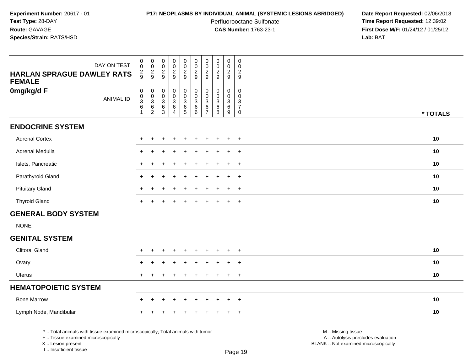# **P17: NEOPLASMS BY INDIVIDUAL ANIMAL (SYSTEMIC LESIONS ABRIDGED) Date Report Requested:** 02/06/2018

Perfluorooctane Sulfonate<br>CAS Number: 1763-23-1

 **Time Report Requested:** 12:39:02 **First Dose M/F:** 01/24/12 / 01/25/12<br>Lab: BAT **Lab:** BAT

| <b>HARLAN SPRAGUE DAWLEY RATS</b><br><b>FEMALE</b>                                                                                                                    | DAY ON TEST      | $\pmb{0}$<br>$\mathsf{O}\xspace$<br>$\frac{2}{9}$               | $\mathbf 0$<br>$\mathbf 0$<br>$\frac{2}{9}$                         | $\pmb{0}$<br>$\mathbf 0$<br>$\overline{c}$<br>9                | $\pmb{0}$<br>$\mathbf 0$<br>$\overline{2}$<br>9                      | $\pmb{0}$<br>$\pmb{0}$<br>$\frac{2}{9}$                          | $\mathbf 0$<br>$\mathbf 0$<br>$\sqrt{2}$<br>9                                      | 0<br>$\mathbf 0$<br>$\overline{2}$<br>9   | $\pmb{0}$<br>$\mathbf 0$<br>$\frac{2}{9}$                   | $\mathbf 0$<br>$\mathbf 0$<br>$\overline{c}$<br>9 | $\mathbf 0$<br>$\mathbf 0$<br>$\boldsymbol{2}$<br>9 |                                                                                               |          |
|-----------------------------------------------------------------------------------------------------------------------------------------------------------------------|------------------|-----------------------------------------------------------------|---------------------------------------------------------------------|----------------------------------------------------------------|----------------------------------------------------------------------|------------------------------------------------------------------|------------------------------------------------------------------------------------|-------------------------------------------|-------------------------------------------------------------|---------------------------------------------------|-----------------------------------------------------|-----------------------------------------------------------------------------------------------|----------|
| 0mg/kg/d F                                                                                                                                                            | <b>ANIMAL ID</b> | $\pmb{0}$<br>$\pmb{0}$<br>$\sqrt{3}$<br>$\,6\,$<br>$\mathbf{1}$ | $\mathbf 0$<br>$\overline{0}$<br>$\mathsf 3$<br>$\overline{6}$<br>2 | $\pmb{0}$<br>$\boldsymbol{0}$<br>$\mathbf{3}$<br>$\frac{6}{3}$ | $\pmb{0}$<br>$\overline{0}$<br>3<br>$6\phantom{a}$<br>$\overline{4}$ | $_{\rm 0}^{\rm 0}$<br>$\begin{array}{c} 3 \\ 6 \\ 5 \end{array}$ | $\pmb{0}$<br>$\overline{0}$<br>$\sqrt{3}$<br>$\begin{array}{c} 6 \\ 6 \end{array}$ | 0<br>$\Omega$<br>3<br>6<br>$\overline{7}$ | $\mathbf 0$<br>$\mathbf 0$<br>$\mathbf{3}$<br>$\frac{6}{8}$ | 0<br>$\Omega$<br>3<br>$\overline{6}$<br>9         | 0<br>$\mathbf 0$<br>$\mathbf{3}$<br>$\bar{7}$<br>0  |                                                                                               | * TOTALS |
| <b>ENDOCRINE SYSTEM</b>                                                                                                                                               |                  |                                                                 |                                                                     |                                                                |                                                                      |                                                                  |                                                                                    |                                           |                                                             |                                                   |                                                     |                                                                                               |          |
| <b>Adrenal Cortex</b>                                                                                                                                                 |                  |                                                                 |                                                                     |                                                                |                                                                      |                                                                  |                                                                                    |                                           |                                                             |                                                   | $\ddot{}$                                           |                                                                                               | 10       |
| Adrenal Medulla                                                                                                                                                       |                  |                                                                 |                                                                     |                                                                |                                                                      |                                                                  |                                                                                    |                                           |                                                             |                                                   | $\overline{+}$                                      |                                                                                               | 10       |
| Islets, Pancreatic                                                                                                                                                    |                  |                                                                 |                                                                     |                                                                |                                                                      |                                                                  |                                                                                    |                                           |                                                             |                                                   | $\overline{+}$                                      |                                                                                               | 10       |
| Parathyroid Gland                                                                                                                                                     |                  |                                                                 |                                                                     |                                                                |                                                                      |                                                                  |                                                                                    |                                           |                                                             |                                                   | $\ddot{}$                                           |                                                                                               | 10       |
| <b>Pituitary Gland</b>                                                                                                                                                |                  |                                                                 |                                                                     |                                                                |                                                                      |                                                                  |                                                                                    |                                           |                                                             |                                                   | $\overline{+}$                                      |                                                                                               | 10       |
| <b>Thyroid Gland</b>                                                                                                                                                  |                  | $+$                                                             | $\ddot{}$                                                           | ÷                                                              | $\ddot{}$                                                            | $\pm$                                                            | $\ddot{}$                                                                          | $\pm$                                     | $\ddot{}$                                                   | $+$                                               | $+$                                                 |                                                                                               | 10       |
| <b>GENERAL BODY SYSTEM</b>                                                                                                                                            |                  |                                                                 |                                                                     |                                                                |                                                                      |                                                                  |                                                                                    |                                           |                                                             |                                                   |                                                     |                                                                                               |          |
| <b>NONE</b>                                                                                                                                                           |                  |                                                                 |                                                                     |                                                                |                                                                      |                                                                  |                                                                                    |                                           |                                                             |                                                   |                                                     |                                                                                               |          |
| <b>GENITAL SYSTEM</b>                                                                                                                                                 |                  |                                                                 |                                                                     |                                                                |                                                                      |                                                                  |                                                                                    |                                           |                                                             |                                                   |                                                     |                                                                                               |          |
| <b>Clitoral Gland</b>                                                                                                                                                 |                  |                                                                 |                                                                     |                                                                |                                                                      |                                                                  |                                                                                    |                                           |                                                             | $\ddot{}$                                         | $+$                                                 |                                                                                               | 10       |
| Ovary                                                                                                                                                                 |                  |                                                                 |                                                                     |                                                                |                                                                      |                                                                  |                                                                                    |                                           |                                                             |                                                   | $\ddot{}$                                           |                                                                                               | 10       |
| Uterus                                                                                                                                                                |                  |                                                                 |                                                                     |                                                                |                                                                      |                                                                  |                                                                                    |                                           |                                                             | $\div$                                            | $\ddot{}$                                           |                                                                                               | 10       |
| <b>HEMATOPOIETIC SYSTEM</b>                                                                                                                                           |                  |                                                                 |                                                                     |                                                                |                                                                      |                                                                  |                                                                                    |                                           |                                                             |                                                   |                                                     |                                                                                               |          |
| <b>Bone Marrow</b>                                                                                                                                                    |                  |                                                                 |                                                                     |                                                                |                                                                      |                                                                  |                                                                                    |                                           |                                                             | $\ddot{}$                                         | $\ddot{}$                                           |                                                                                               | 10       |
| Lymph Node, Mandibular                                                                                                                                                |                  |                                                                 |                                                                     |                                                                |                                                                      |                                                                  |                                                                                    |                                           |                                                             |                                                   | $\ddot{}$                                           |                                                                                               | 10       |
| *  Total animals with tissue examined microscopically; Total animals with tumor<br>+  Tissue examined microscopically<br>X  Lesion present<br>I., Insufficient tissue |                  |                                                                 |                                                                     |                                                                |                                                                      |                                                                  |                                                                                    |                                           |                                                             |                                                   | Page 19                                             | M  Missing tissue<br>A  Autolysis precludes evaluation<br>BLANK  Not examined microscopically |          |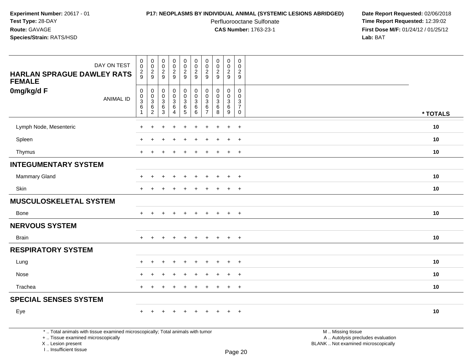I .. Insufficient tissue

# **P17: NEOPLASMS BY INDIVIDUAL ANIMAL (SYSTEMIC LESIONS ABRIDGED) Date Report Requested:** 02/06/2018

Perfluorooctane Sulfonate<br>CAS Number: 1763-23-1

 **Time Report Requested:** 12:39:02 **First Dose M/F:** 01/24/12 / 01/25/12<br>**Lab:** BAT **Lab:** BAT

| DAY ON TEST<br><b>HARLAN SPRAGUE DAWLEY RATS</b><br><b>FEMALE</b>                                                                          | $\mathsf{O}\xspace$<br>$\overline{0}$<br>$\frac{2}{9}$                           | $\pmb{0}$<br>$\overline{0}$<br>$\frac{2}{9}$                            | $\mathbf 0$<br>$\ddot{\mathbf{0}}$<br>$\frac{2}{9}$               | $\pmb{0}$<br>$\ddot{\mathbf{0}}$<br>$\frac{2}{9}$      | $\pmb{0}$<br>$\ddot{\mathbf{0}}$<br>$\frac{2}{9}$                     | $\pmb{0}$<br>$\ddot{\mathbf{0}}$<br>$\frac{2}{9}$                       | $\mathbf 0$<br>$\mathbf 0$<br>$\frac{2}{9}$            | $\mathsf 0$<br>$\overline{0}$<br>$\sqrt{2}$<br>9   | $\pmb{0}$<br>$\ddot{\mathbf{0}}$<br>$\frac{2}{9}$                        | $\mathsf{O}$<br>$\mathbf 0$<br>$\overline{2}$<br>$9\,$          |                                                                                               |          |
|--------------------------------------------------------------------------------------------------------------------------------------------|----------------------------------------------------------------------------------|-------------------------------------------------------------------------|-------------------------------------------------------------------|--------------------------------------------------------|-----------------------------------------------------------------------|-------------------------------------------------------------------------|--------------------------------------------------------|----------------------------------------------------|--------------------------------------------------------------------------|-----------------------------------------------------------------|-----------------------------------------------------------------------------------------------|----------|
| 0mg/kg/d F<br><b>ANIMAL ID</b>                                                                                                             | $\pmb{0}$<br>$\mathbf 0$<br>$\ensuremath{\mathsf{3}}$<br>$\,6\,$<br>$\mathbf{1}$ | $\pmb{0}$<br>$\mathsf{O}$<br>$\ensuremath{\mathsf{3}}$<br>$\frac{6}{2}$ | $\pmb{0}$<br>$\mathbf 0$<br>$\sqrt{3}$<br>$\,6$<br>$\overline{3}$ | $\pmb{0}$<br>$\mathbf 0$<br>$\sqrt{3}$<br>$\,6\,$<br>4 | $\mathbf 0$<br>$\mathbf 0$<br>$\ensuremath{\mathsf{3}}$<br>$6\over 5$ | $\pmb{0}$<br>$\mathsf{O}\xspace$<br>$\ensuremath{\mathsf{3}}$<br>$^6_6$ | $\mathbf 0$<br>$\mathbf 0$<br>3<br>6<br>$\overline{7}$ | $\mathbf 0$<br>$\mathbf 0$<br>$\sqrt{3}$<br>6<br>8 | 0<br>$\mathbf 0$<br>$\ensuremath{\mathsf{3}}$<br>$\,6$<br>$\overline{9}$ | 0<br>$\mathbf 0$<br>$\sqrt{3}$<br>$\overline{7}$<br>$\mathbf 0$ |                                                                                               | * TOTALS |
| Lymph Node, Mesenteric                                                                                                                     |                                                                                  |                                                                         |                                                                   |                                                        |                                                                       |                                                                         |                                                        |                                                    | $\ddot{}$                                                                | $\div$                                                          |                                                                                               | 10       |
| Spleen                                                                                                                                     |                                                                                  |                                                                         |                                                                   |                                                        |                                                                       |                                                                         |                                                        |                                                    | $\div$                                                                   | $+$                                                             |                                                                                               | 10       |
| Thymus                                                                                                                                     | $\ddot{}$                                                                        | $\ddot{}$                                                               | $\div$                                                            | $\div$                                                 | $\ddot{}$                                                             | $\ddot{}$                                                               | ÷                                                      | ÷                                                  | $+$                                                                      | $+$                                                             |                                                                                               | 10       |
| <b>INTEGUMENTARY SYSTEM</b>                                                                                                                |                                                                                  |                                                                         |                                                                   |                                                        |                                                                       |                                                                         |                                                        |                                                    |                                                                          |                                                                 |                                                                                               |          |
| Mammary Gland                                                                                                                              |                                                                                  |                                                                         |                                                                   |                                                        |                                                                       |                                                                         |                                                        |                                                    | $+$                                                                      | $+$                                                             |                                                                                               | 10       |
| Skin                                                                                                                                       |                                                                                  |                                                                         |                                                                   |                                                        |                                                                       |                                                                         |                                                        |                                                    | $\ddot{}$                                                                | $\overline{+}$                                                  |                                                                                               | 10       |
| <b>MUSCULOSKELETAL SYSTEM</b>                                                                                                              |                                                                                  |                                                                         |                                                                   |                                                        |                                                                       |                                                                         |                                                        |                                                    |                                                                          |                                                                 |                                                                                               |          |
| <b>Bone</b>                                                                                                                                | $+$                                                                              | $+$                                                                     | $\overline{+}$                                                    | $+$                                                    | $+$                                                                   | $+$                                                                     | $+$                                                    | $+$                                                | $+$                                                                      | $+$                                                             |                                                                                               | 10       |
| <b>NERVOUS SYSTEM</b>                                                                                                                      |                                                                                  |                                                                         |                                                                   |                                                        |                                                                       |                                                                         |                                                        |                                                    |                                                                          |                                                                 |                                                                                               |          |
| <b>Brain</b>                                                                                                                               | $+$                                                                              | $+$                                                                     | $\ddot{}$                                                         | $+$                                                    | $\ddot{}$                                                             | $\ddot{}$                                                               | $\ddot{}$                                              | $+$                                                | $+$                                                                      | $+$                                                             |                                                                                               | 10       |
| <b>RESPIRATORY SYSTEM</b>                                                                                                                  |                                                                                  |                                                                         |                                                                   |                                                        |                                                                       |                                                                         |                                                        |                                                    |                                                                          |                                                                 |                                                                                               |          |
| Lung                                                                                                                                       |                                                                                  |                                                                         |                                                                   |                                                        |                                                                       |                                                                         |                                                        |                                                    |                                                                          | $\ddot{}$                                                       |                                                                                               | 10       |
| Nose                                                                                                                                       |                                                                                  |                                                                         |                                                                   |                                                        |                                                                       |                                                                         |                                                        |                                                    |                                                                          | $\overline{1}$                                                  |                                                                                               | 10       |
| Trachea                                                                                                                                    | $+$                                                                              | $\ddot{}$                                                               |                                                                   | $\div$                                                 | $\ddot{}$                                                             | $\ddot{}$                                                               | $\pm$                                                  | $\ddot{}$                                          | $+$                                                                      | $+$                                                             |                                                                                               | 10       |
| <b>SPECIAL SENSES SYSTEM</b>                                                                                                               |                                                                                  |                                                                         |                                                                   |                                                        |                                                                       |                                                                         |                                                        |                                                    |                                                                          |                                                                 |                                                                                               |          |
| Eye                                                                                                                                        | $+$                                                                              | $+$                                                                     |                                                                   | $\ddot{}$                                              |                                                                       | $\ddot{}$                                                               |                                                        |                                                    | $+$                                                                      | $+$                                                             |                                                                                               | 10       |
| *  Total animals with tissue examined microscopically; Total animals with tumor<br>+  Tissue examined microscopically<br>X  Lesion present |                                                                                  |                                                                         |                                                                   |                                                        |                                                                       |                                                                         |                                                        |                                                    |                                                                          |                                                                 | M  Missing tissue<br>A  Autolysis precludes evaluation<br>BLANK  Not examined microscopically |          |

Page 20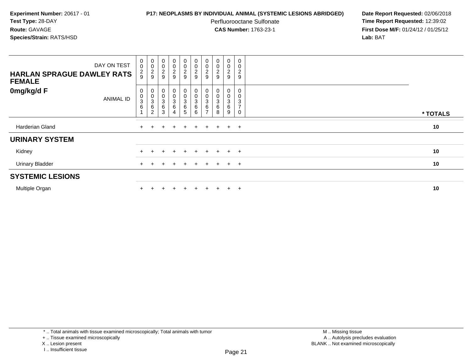## **P17: NEOPLASMS BY INDIVIDUAL ANIMAL (SYSTEMIC LESIONS ABRIDGED) Date Report Requested:** 02/06/2018

Perfluorooctane Sulfonate<br>CAS Number: 1763-23-1

 **Time Report Requested:** 12:39:02 **First Dose M/F:** 01/24/12 / 01/25/12<br>**Lab:** BAT **Lab:** BAT

| DAY ON TEST<br><b>HARLAN SPRAGUE DAWLEY RATS</b><br><b>FEMALE</b> | $\begin{smallmatrix} 0\\0 \end{smallmatrix}$<br>$\frac{2}{9}$  | 00029                                                      | $_{\rm 0}^{\rm 0}$<br>$\frac{2}{9}$              | $_0^0$<br>$\frac{2}{9}$ | $\begin{array}{c} 0 \\ 0 \\ 2 \\ 9 \end{array}$     | $\begin{array}{c} 0 \\ 0 \\ 2 \\ 9 \end{array}$ | $\pmb{0}$<br>$\pmb{0}$<br>$\frac{2}{9}$                    | $\begin{smallmatrix} 0\\0 \end{smallmatrix}$<br>$\frac{2}{9}$ | 0<br>0<br>$\frac{2}{9}$ | 0<br>0<br>$\boldsymbol{2}$<br>$\boldsymbol{9}$                       |          |
|-------------------------------------------------------------------|----------------------------------------------------------------|------------------------------------------------------------|--------------------------------------------------|-------------------------|-----------------------------------------------------|-------------------------------------------------|------------------------------------------------------------|---------------------------------------------------------------|-------------------------|----------------------------------------------------------------------|----------|
| 0mg/kg/d F<br>ANIMAL ID                                           | $\pmb{0}$<br>$\pmb{0}$<br>$\ensuremath{\mathsf{3}}$<br>$\,6\,$ | 0<br>$\begin{matrix}0\\3\\6\end{matrix}$<br>$\overline{2}$ | $\boldsymbol{0}$<br>$\pmb{0}$<br>3<br>$\,6$<br>3 | 0<br>$\frac{0}{3}$      | $\begin{matrix} 0 \\ 0 \\ 3 \\ 6 \end{matrix}$<br>5 | $\begin{matrix}0\\0\\3\\6\end{matrix}$<br>6     | 0<br>0<br>$\ensuremath{\mathsf{3}}$<br>6<br>$\overline{ }$ | 0<br>$\boldsymbol{0}$<br>3<br>6<br>8                          | 0<br>0<br>3<br>6<br>9   | 0<br>$\mathbf 0$<br>$\ensuremath{\mathsf{3}}$<br>$\overline{7}$<br>0 | * TOTALS |
| Harderian Gland                                                   |                                                                |                                                            |                                                  | $\pm$                   | $+$                                                 | $+$                                             | $+$                                                        | $+$                                                           | $+$ $+$                 |                                                                      | 10       |
| <b>URINARY SYSTEM</b>                                             |                                                                |                                                            |                                                  |                         |                                                     |                                                 |                                                            |                                                               |                         |                                                                      |          |
| Kidney                                                            |                                                                |                                                            | $+$                                              | $\ddot{}$               | $+$                                                 | $+$                                             | $+$                                                        | $+$                                                           |                         | $+$ $+$                                                              | 10       |
| <b>Urinary Bladder</b>                                            |                                                                |                                                            |                                                  |                         |                                                     |                                                 |                                                            | $+$                                                           | $+$                     | $+$                                                                  | 10       |
| <b>SYSTEMIC LESIONS</b>                                           |                                                                |                                                            |                                                  |                         |                                                     |                                                 |                                                            |                                                               |                         |                                                                      |          |
| Multiple Organ                                                    |                                                                |                                                            |                                                  |                         | ÷.                                                  |                                                 |                                                            |                                                               | $\ddot{}$               | $+$                                                                  | 10       |

\* .. Total animals with tissue examined microscopically; Total animals with tumor

+ .. Tissue examined microscopically

X .. Lesion present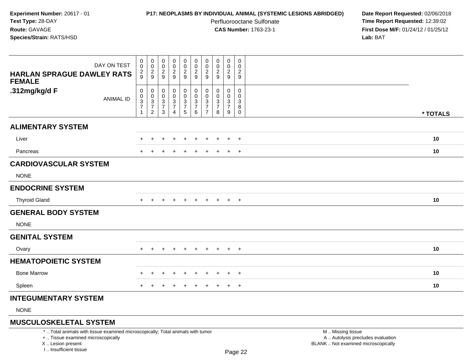## **P17: NEOPLASMS BY INDIVIDUAL ANIMAL (SYSTEMIC LESIONS ABRIDGED) Date Report Requested:** 02/06/2018

Perfluorooctane Sulfonate<br>CAS Number: 1763-23-1

 **Time Report Requested:** 12:39:02 **First Dose M/F:** 01/24/12 / 01/25/12<br>**Lab:** BAT **Lab:** BAT

| DAY ON TEST<br>HARLAN SPRAGUE DAWLEY RATS<br><b>FEMALE</b> | 0<br>0<br>$\frac{2}{9}$              | $\overline{0}$<br>$\boldsymbol{0}$<br>$\frac{2}{9}$              | 0<br>$\,0\,$<br>$\frac{2}{9}$                | 0<br>0<br>$\frac{2}{9}$      | $\pmb{0}$<br>$\mathbf 0$<br>$\frac{2}{9}$             | $_{\rm 0}^{\rm 0}$<br>$\frac{2}{9}$            | 0<br>0<br>$\boldsymbol{2}$<br>9                        | 0<br>0<br>$\boldsymbol{2}$<br>9    | 0<br>0<br>$\frac{2}{9}$            | $\mathbf 0$<br>$\mathbf 0$<br>$\overline{c}$<br>$\boldsymbol{9}$ |          |
|------------------------------------------------------------|--------------------------------------|------------------------------------------------------------------|----------------------------------------------|------------------------------|-------------------------------------------------------|------------------------------------------------|--------------------------------------------------------|------------------------------------|------------------------------------|------------------------------------------------------------------|----------|
| .312mg/kg/d F<br><b>ANIMAL ID</b>                          | 0<br>$\pmb{0}$<br>$\frac{3}{7}$<br>1 | $\pmb{0}$<br>$\boldsymbol{0}$<br>$\frac{3}{7}$<br>$\overline{2}$ | $\pmb{0}$<br>$\pmb{0}$<br>$\frac{3}{7}$<br>3 | 0<br>0<br>$\frac{3}{7}$<br>4 | $\boldsymbol{0}$<br>$\mathbf 0$<br>$\frac{3}{7}$<br>5 | $\pmb{0}$<br>$\mathbf 0$<br>$\frac{3}{7}$<br>6 | 0<br>$\Omega$<br>3<br>$\overline{7}$<br>$\overline{7}$ | 0<br>0<br>3<br>$\overline{7}$<br>8 | 0<br>0<br>3<br>$\overline{7}$<br>9 | 0<br>$\Omega$<br>3<br>8<br>$\mathbf 0$                           | * TOTALS |
| <b>ALIMENTARY SYSTEM</b>                                   |                                      |                                                                  |                                              |                              |                                                       |                                                |                                                        |                                    |                                    |                                                                  |          |
| Liver                                                      |                                      |                                                                  |                                              |                              |                                                       |                                                |                                                        |                                    | ÷                                  | $+$                                                              | 10       |
| Pancreas                                                   |                                      |                                                                  |                                              |                              |                                                       |                                                |                                                        |                                    | $\div$                             | $+$                                                              | 10       |
| <b>CARDIOVASCULAR SYSTEM</b>                               |                                      |                                                                  |                                              |                              |                                                       |                                                |                                                        |                                    |                                    |                                                                  |          |
| <b>NONE</b>                                                |                                      |                                                                  |                                              |                              |                                                       |                                                |                                                        |                                    |                                    |                                                                  |          |
| <b>ENDOCRINE SYSTEM</b>                                    |                                      |                                                                  |                                              |                              |                                                       |                                                |                                                        |                                    |                                    |                                                                  |          |
| <b>Thyroid Gland</b>                                       | $+$                                  | $\pm$                                                            |                                              | $\overline{ }$               | $+$                                                   | $+$                                            | $+$                                                    | $+$                                | $+$                                | $+$                                                              | 10       |
| <b>GENERAL BODY SYSTEM</b>                                 |                                      |                                                                  |                                              |                              |                                                       |                                                |                                                        |                                    |                                    |                                                                  |          |
| <b>NONE</b>                                                |                                      |                                                                  |                                              |                              |                                                       |                                                |                                                        |                                    |                                    |                                                                  |          |
| <b>GENITAL SYSTEM</b>                                      |                                      |                                                                  |                                              |                              |                                                       |                                                |                                                        |                                    |                                    |                                                                  |          |
| Ovary                                                      | $\pm$                                | $\ddot{}$                                                        |                                              | $\ddot{}$                    | $\ddot{}$                                             | $\overline{+}$                                 | $\ddot{}$                                              | $\ddot{}$                          | $\ddot{}$                          | $+$                                                              | 10       |
| <b>HEMATOPOIETIC SYSTEM</b>                                |                                      |                                                                  |                                              |                              |                                                       |                                                |                                                        |                                    |                                    |                                                                  |          |
| <b>Bone Marrow</b>                                         |                                      |                                                                  |                                              |                              |                                                       |                                                |                                                        |                                    |                                    | $\ddot{}$                                                        | 10       |
| Spleen                                                     |                                      |                                                                  |                                              | $\div$                       | $\pm$                                                 | $\pm$                                          | $\pm$                                                  | ÷                                  | $\ddot{}$                          | $+$                                                              | 10       |
| <b>INTEGUMENTARY SYSTEM</b>                                |                                      |                                                                  |                                              |                              |                                                       |                                                |                                                        |                                    |                                    |                                                                  |          |

NONE

# **MUSCULOSKELETAL SYSTEM**

\* .. Total animals with tissue examined microscopically; Total animals with tumor

+ .. Tissue examined microscopically

X .. Lesion present

I .. Insufficient tissue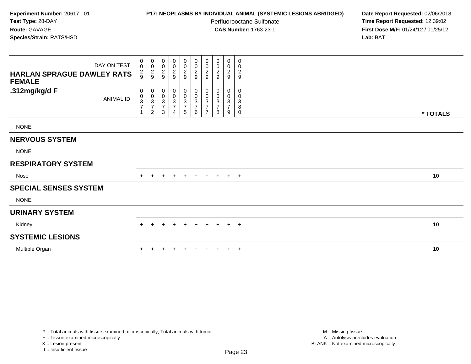# **P17: NEOPLASMS BY INDIVIDUAL ANIMAL (SYSTEMIC LESIONS ABRIDGED) Date Report Requested:** 02/06/2018

Perfluorooctane Sulfonate<br>CAS Number: 1763-23-1

 **Time Report Requested:** 12:39:02 **First Dose M/F:** 01/24/12 / 01/25/12<br>**Lab:** BAT **Lab:** BAT

| DAY ON TEST<br><b>HARLAN SPRAGUE DAWLEY RATS</b><br><b>FEMALE</b> | 0<br>$\mathbf 0$<br>$\frac{2}{9}$                                    | $_{\rm 0}^{\rm 0}$<br>$\frac{2}{9}$                                                       | 0<br>$\mathbf 0$<br>$\frac{2}{9}$                                           | $\begin{array}{c} 0 \\ 0 \\ 2 \\ 9 \end{array}$ | 0<br>$\frac{0}{2}$      | 0<br>$\frac{0}{2}$                                       | 0<br>$\pmb{0}$<br>$\frac{2}{9}$                 | $\boldsymbol{0}$<br>$\pmb{0}$<br>$\overline{2}$<br>9 | 0<br>$\pmb{0}$<br>$\frac{2}{9}$               | 0<br>0<br>$\overline{c}$<br>$\boldsymbol{9}$ |          |
|-------------------------------------------------------------------|----------------------------------------------------------------------|-------------------------------------------------------------------------------------------|-----------------------------------------------------------------------------|-------------------------------------------------|-------------------------|----------------------------------------------------------|-------------------------------------------------|------------------------------------------------------|-----------------------------------------------|----------------------------------------------|----------|
| .312mg/kg/d F<br><b>ANIMAL ID</b>                                 | 0<br>$\boldsymbol{0}$<br>$\ensuremath{\mathsf{3}}$<br>$\overline{7}$ | $\mathbf 0$<br>$\pmb{0}$<br>$\ensuremath{\mathsf{3}}$<br>$\overline{7}$<br>$\overline{c}$ | 0<br>$\begin{smallmatrix} 0\\ 3 \end{smallmatrix}$<br>$\boldsymbol{7}$<br>3 | 0<br>$\frac{0}{3}$<br>4                         | 0<br>$\frac{0}{3}$<br>5 | $\mathbf 0$<br>$_{3}^{\rm 0}$<br>$\overline{7}$<br>$\,6$ | 0<br>0<br>3<br>$\overline{ }$<br>$\overline{7}$ | 0<br>0<br>3<br>$\overline{7}$<br>8                   | 0<br>0<br>$\mathbf{3}$<br>$\overline{7}$<br>9 | 0<br>0<br>3<br>8<br>0                        | * TOTALS |
| <b>NONE</b>                                                       |                                                                      |                                                                                           |                                                                             |                                                 |                         |                                                          |                                                 |                                                      |                                               |                                              |          |
| <b>NERVOUS SYSTEM</b>                                             |                                                                      |                                                                                           |                                                                             |                                                 |                         |                                                          |                                                 |                                                      |                                               |                                              |          |
| <b>NONE</b>                                                       |                                                                      |                                                                                           |                                                                             |                                                 |                         |                                                          |                                                 |                                                      |                                               |                                              |          |
| <b>RESPIRATORY SYSTEM</b>                                         |                                                                      |                                                                                           |                                                                             |                                                 |                         |                                                          |                                                 |                                                      |                                               |                                              |          |
| Nose                                                              | $+$                                                                  | $+$                                                                                       | $\pm$                                                                       | $+$                                             | $+$                     | $+$                                                      |                                                 | + + + +                                              |                                               |                                              | 10       |
| <b>SPECIAL SENSES SYSTEM</b>                                      |                                                                      |                                                                                           |                                                                             |                                                 |                         |                                                          |                                                 |                                                      |                                               |                                              |          |
| <b>NONE</b>                                                       |                                                                      |                                                                                           |                                                                             |                                                 |                         |                                                          |                                                 |                                                      |                                               |                                              |          |
| <b>URINARY SYSTEM</b>                                             |                                                                      |                                                                                           |                                                                             |                                                 |                         |                                                          |                                                 |                                                      |                                               |                                              |          |
| Kidney                                                            | $+$                                                                  | $\ddot{}$                                                                                 |                                                                             | $+$                                             | $+$                     | $+$                                                      | $+$                                             | $+$                                                  | $+$ $+$                                       |                                              | 10       |
| <b>SYSTEMIC LESIONS</b>                                           |                                                                      |                                                                                           |                                                                             |                                                 |                         |                                                          |                                                 |                                                      |                                               |                                              |          |
| Multiple Organ                                                    |                                                                      |                                                                                           |                                                                             |                                                 |                         |                                                          |                                                 | $+$                                                  | $+$                                           | $+$                                          | 10       |

+ .. Tissue examined microscopically

X .. Lesion present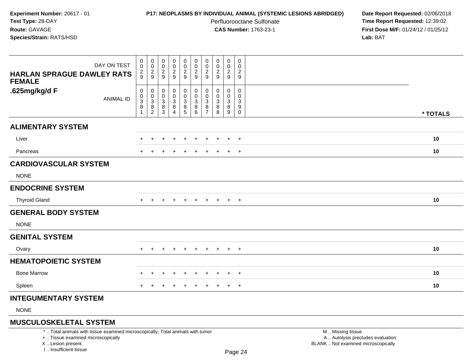## **P17: NEOPLASMS BY INDIVIDUAL ANIMAL (SYSTEMIC LESIONS ABRIDGED) Date Report Requested:** 02/06/2018

Perfluorooctane Sulfonate<br>CAS Number: 1763-23-1

 **Time Report Requested:** 12:39:02 **First Dose M/F:** 01/24/12 / 01/25/12<br>**Lab:** BAT **Lab:** BAT

| DAY ON TEST<br><b>HARLAN SPRAGUE DAWLEY RATS</b><br><b>FEMALE</b> | 0<br>$\ddot{\mathbf{0}}$<br>$\overline{c}$<br>9                 | $\boldsymbol{0}$<br>$\overline{0}$<br>$\frac{2}{9}$ | $\pmb{0}$<br>$\ddot{\mathbf{0}}$<br>$\frac{2}{9}$ | $_{\rm 0}^{\rm 0}$<br>$\overline{c}$<br>$\mathsf g$ | 0<br>$\mathbf 0$<br>$\frac{2}{9}$                              | 00029                           | $\mathbf 0$<br>$\pmb{0}$<br>$\overline{c}$<br>$9\,$ | 0<br>0<br>$\boldsymbol{2}$<br>$\boldsymbol{9}$ | 0<br>0<br>$\overline{a}$<br>$\boldsymbol{9}$      | $\mathbf 0$<br>$\mathbf 0$<br>$\overline{c}$<br>9 |          |  |
|-------------------------------------------------------------------|-----------------------------------------------------------------|-----------------------------------------------------|---------------------------------------------------|-----------------------------------------------------|----------------------------------------------------------------|---------------------------------|-----------------------------------------------------|------------------------------------------------|---------------------------------------------------|---------------------------------------------------|----------|--|
| .625mg/kg/d F<br><b>ANIMAL ID</b>                                 | 0<br>$\begin{array}{c} 0 \\ 3 \\ 8 \end{array}$<br>$\mathbf{1}$ | 0<br>$\mathbf 0$<br>3<br>$\bf 8$<br>$\overline{c}$  | 0<br>$\mathbf 0$<br>$_{\rm 8}^3$<br>3             | 0<br>$\pmb{0}$<br>$_8^3$<br>$\overline{4}$          | 0<br>$\mathbf 0$<br>$\begin{array}{c} 3 \\ 8 \\ 5 \end{array}$ | 0<br>$\pmb{0}$<br>$\frac{3}{8}$ | 0<br>$\mathbf 0$<br>3<br>8<br>$\overline{7}$        | 0<br>0<br>$\ensuremath{\mathsf{3}}$<br>8<br>8  | $\mathbf{0}$<br>0<br>$\mathbf{3}$<br>$\bf 8$<br>9 | 0<br>0<br>$\sqrt{3}$<br>$\boldsymbol{9}$<br>0     | * TOTALS |  |
| <b>ALIMENTARY SYSTEM</b>                                          |                                                                 |                                                     |                                                   |                                                     |                                                                |                                 |                                                     |                                                |                                                   |                                                   |          |  |
| Liver                                                             |                                                                 |                                                     |                                                   |                                                     |                                                                |                                 |                                                     |                                                | $\ddot{}$                                         | $+$                                               | 10       |  |
| Pancreas                                                          |                                                                 |                                                     |                                                   |                                                     |                                                                |                                 |                                                     |                                                | ÷                                                 | $+$                                               | 10       |  |
| <b>CARDIOVASCULAR SYSTEM</b>                                      |                                                                 |                                                     |                                                   |                                                     |                                                                |                                 |                                                     |                                                |                                                   |                                                   |          |  |
| <b>NONE</b>                                                       |                                                                 |                                                     |                                                   |                                                     |                                                                |                                 |                                                     |                                                |                                                   |                                                   |          |  |
| <b>ENDOCRINE SYSTEM</b>                                           |                                                                 |                                                     |                                                   |                                                     |                                                                |                                 |                                                     |                                                |                                                   |                                                   |          |  |
| <b>Thyroid Gland</b>                                              | $+$                                                             |                                                     |                                                   | $\pm$                                               | $\pm$                                                          | $\pm$                           | $\pm$                                               | $+$                                            | $+$                                               | $+$                                               | 10       |  |
| <b>GENERAL BODY SYSTEM</b>                                        |                                                                 |                                                     |                                                   |                                                     |                                                                |                                 |                                                     |                                                |                                                   |                                                   |          |  |
| <b>NONE</b>                                                       |                                                                 |                                                     |                                                   |                                                     |                                                                |                                 |                                                     |                                                |                                                   |                                                   |          |  |
| <b>GENITAL SYSTEM</b>                                             |                                                                 |                                                     |                                                   |                                                     |                                                                |                                 |                                                     |                                                |                                                   |                                                   |          |  |
| Ovary                                                             | +                                                               | $\pm$                                               |                                                   | $\pm$                                               | $\ddot{}$                                                      | $\pm$                           | $\pm$                                               | $\pm$                                          | $\ddot{}$                                         | $+$                                               | 10       |  |
| <b>HEMATOPOIETIC SYSTEM</b>                                       |                                                                 |                                                     |                                                   |                                                     |                                                                |                                 |                                                     |                                                |                                                   |                                                   |          |  |
| <b>Bone Marrow</b>                                                |                                                                 |                                                     |                                                   |                                                     |                                                                |                                 |                                                     |                                                |                                                   | $\ddot{}$                                         | 10       |  |
| Spleen                                                            |                                                                 |                                                     |                                                   | $\pm$                                               | ÷                                                              |                                 | ÷                                                   |                                                | $\ddot{}$                                         | $+$                                               | 10       |  |
| <b>INTEGUMENTARY SYSTEM</b>                                       |                                                                 |                                                     |                                                   |                                                     |                                                                |                                 |                                                     |                                                |                                                   |                                                   |          |  |

NONE

# **MUSCULOSKELETAL SYSTEM**

\* .. Total animals with tissue examined microscopically; Total animals with tumor

+ .. Tissue examined microscopically

X .. Lesion present

I .. Insufficient tissue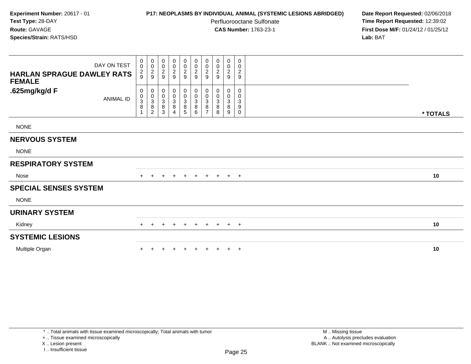# **P17: NEOPLASMS BY INDIVIDUAL ANIMAL (SYSTEMIC LESIONS ABRIDGED) Date Report Requested:** 02/06/2018

Perfluorooctane Sulfonate<br>CAS Number: 1763-23-1

 **Time Report Requested:** 12:39:02 **First Dose M/F:** 01/24/12 / 01/25/12<br>**Lab:** BAT **Lab:** BAT

| DAY ON TEST<br><b>HARLAN SPRAGUE DAWLEY RATS</b><br><b>FEMALE</b> | 0<br>$\mathsf 0$<br>$\frac{2}{9}$ | $\begin{smallmatrix} 0\\0 \end{smallmatrix}$<br>$\frac{2}{9}$ | $\begin{array}{c} 0 \\ 0 \\ 2 \\ 9 \end{array}$ | $\begin{array}{c} 0 \\ 0 \\ 2 \\ 9 \end{array}$                        | 0<br>$\frac{0}{2}$                   | 00029                                             | 0<br>$\pmb{0}$<br>$\frac{2}{9}$                            | 0<br>$\pmb{0}$<br>$\boldsymbol{2}$<br>9                 | 0<br>$\mathbf 0$<br>$\frac{2}{9}$ | 0<br>0<br>$\overline{c}$<br>$\boldsymbol{9}$            |          |  |
|-------------------------------------------------------------------|-----------------------------------|---------------------------------------------------------------|-------------------------------------------------|------------------------------------------------------------------------|--------------------------------------|---------------------------------------------------|------------------------------------------------------------|---------------------------------------------------------|-----------------------------------|---------------------------------------------------------|----------|--|
| .625mg/kg/d F<br><b>ANIMAL ID</b>                                 | 0<br>0<br>3<br>$\, 8$<br>1        | 0<br>$\pmb{0}$<br>$\sqrt{3}$<br>8<br>$\overline{c}$           | 0<br>$_{3}^{\rm 0}$<br>$\,8\,$<br>3             | $\begin{smallmatrix} 0\\0\\3 \end{smallmatrix}$<br>8<br>$\overline{4}$ | 0<br>$_{3}^{\rm 0}$<br>$\frac{8}{5}$ | $\pmb{0}$<br>$_{3}^{\rm 0}$<br>$\,8\,$<br>$\,6\,$ | 0<br>0<br>$\ensuremath{\mathsf{3}}$<br>8<br>$\overline{ }$ | 0<br>$\mathbf 0$<br>$\ensuremath{\mathsf{3}}$<br>8<br>8 | $\mathbf{0}$<br>0<br>3<br>8<br>9  | $\mathbf 0$<br>0<br>$\ensuremath{\mathsf{3}}$<br>9<br>0 | * TOTALS |  |
| <b>NONE</b>                                                       |                                   |                                                               |                                                 |                                                                        |                                      |                                                   |                                                            |                                                         |                                   |                                                         |          |  |
| <b>NERVOUS SYSTEM</b>                                             |                                   |                                                               |                                                 |                                                                        |                                      |                                                   |                                                            |                                                         |                                   |                                                         |          |  |
| <b>NONE</b>                                                       |                                   |                                                               |                                                 |                                                                        |                                      |                                                   |                                                            |                                                         |                                   |                                                         |          |  |
| <b>RESPIRATORY SYSTEM</b>                                         |                                   |                                                               |                                                 |                                                                        |                                      |                                                   |                                                            |                                                         |                                   |                                                         |          |  |
| Nose                                                              | $+$                               | $\pm$                                                         |                                                 | $\ddot{}$                                                              | $+$                                  | $+$                                               | $+$                                                        | $+$                                                     | $+$ $+$                           |                                                         | 10       |  |
| <b>SPECIAL SENSES SYSTEM</b>                                      |                                   |                                                               |                                                 |                                                                        |                                      |                                                   |                                                            |                                                         |                                   |                                                         |          |  |
| <b>NONE</b>                                                       |                                   |                                                               |                                                 |                                                                        |                                      |                                                   |                                                            |                                                         |                                   |                                                         |          |  |
| <b>URINARY SYSTEM</b>                                             |                                   |                                                               |                                                 |                                                                        |                                      |                                                   |                                                            |                                                         |                                   |                                                         |          |  |
| Kidney                                                            | $+$                               | $\pm$                                                         | ÷                                               | $+$                                                                    | $\ddot{}$                            | $+$                                               | $+$                                                        | $+$                                                     | $+$                               | $+$                                                     | 10       |  |
| <b>SYSTEMIC LESIONS</b>                                           |                                   |                                                               |                                                 |                                                                        |                                      |                                                   |                                                            |                                                         |                                   |                                                         |          |  |
| Multiple Organ                                                    |                                   |                                                               |                                                 | $\ddot{}$                                                              | $\pm$                                |                                                   |                                                            | $+$                                                     | $+$                               | $+$                                                     | 10       |  |

+ .. Tissue examined microscopically

X .. Lesion present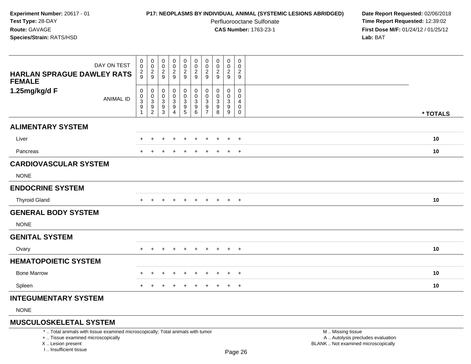# **P17: NEOPLASMS BY INDIVIDUAL ANIMAL (SYSTEMIC LESIONS ABRIDGED) Date Report Requested:** 02/06/2018

Perfluorooctane Sulfonate<br>CAS Number: 1763-23-1

 **Time Report Requested:** 12:39:02 **First Dose M/F:** 01/24/12 / 01/25/12<br>**Lab:** BAT **Lab:** BAT

| DAY ON TEST<br><b>HARLAN SPRAGUE DAWLEY RATS</b><br><b>FEMALE</b> | $\pmb{0}$<br>$\overline{0}$<br>$\frac{2}{9}$                                 | 0<br>$\pmb{0}$<br>$\frac{2}{9}$                                      | 0<br>$\pmb{0}$<br>$\overline{c}$<br>$\boldsymbol{9}$ | $\pmb{0}$<br>$\pmb{0}$<br>$\overline{c}$<br>$9\,$            | 0<br>$\mathsf{O}\xspace$<br>$\frac{2}{9}$                                    | $\mathbf 0$<br>$\mathsf 0$<br>$\overline{2}$<br>9              | $\boldsymbol{0}$<br>0<br>$\overline{2}$<br>$\boldsymbol{9}$ | 0<br>0<br>$\overline{c}$<br>$\boldsymbol{9}$ | 0<br>0<br>$\overline{c}$<br>9        | $\mathbf 0$<br>0<br>$\overline{a}$<br>9 |          |  |
|-------------------------------------------------------------------|------------------------------------------------------------------------------|----------------------------------------------------------------------|------------------------------------------------------|--------------------------------------------------------------|------------------------------------------------------------------------------|----------------------------------------------------------------|-------------------------------------------------------------|----------------------------------------------|--------------------------------------|-----------------------------------------|----------|--|
| 1.25mg/kg/d F<br><b>ANIMAL ID</b>                                 | $\pmb{0}$<br>$\pmb{0}$<br>$\overline{3}$<br>$\boldsymbol{9}$<br>$\mathbf{1}$ | 0<br>$\mathbf 0$<br>$\ensuremath{\mathsf{3}}$<br>9<br>$\overline{c}$ | 0<br>0<br>3<br>$\frac{9}{3}$                         | 0<br>$\pmb{0}$<br>$\ensuremath{\mathsf{3}}$<br>$\frac{9}{4}$ | 0<br>0<br>$\ensuremath{\mathsf{3}}$<br>$\begin{array}{c} 9 \\ 5 \end{array}$ | $\overline{0}$<br>$\mathbf 0$<br>$\mathbf{3}$<br>$\frac{9}{6}$ | 0<br>$\mathbf 0$<br>3<br>9<br>$\overline{7}$                | 0<br>0<br>3<br>9<br>8                        | 0<br>0<br>3<br>$\boldsymbol{9}$<br>9 | $\mathbf 0$<br>0<br>4<br>0<br>0         | * TOTALS |  |
| <b>ALIMENTARY SYSTEM</b>                                          |                                                                              |                                                                      |                                                      |                                                              |                                                                              |                                                                |                                                             |                                              |                                      |                                         |          |  |
| Liver                                                             |                                                                              |                                                                      |                                                      |                                                              |                                                                              |                                                                |                                                             |                                              | $\ddot{}$                            | $+$                                     | 10       |  |
| Pancreas                                                          |                                                                              |                                                                      |                                                      |                                                              |                                                                              |                                                                |                                                             |                                              |                                      | $\ddot{}$                               | 10       |  |
| <b>CARDIOVASCULAR SYSTEM</b>                                      |                                                                              |                                                                      |                                                      |                                                              |                                                                              |                                                                |                                                             |                                              |                                      |                                         |          |  |
| <b>NONE</b>                                                       |                                                                              |                                                                      |                                                      |                                                              |                                                                              |                                                                |                                                             |                                              |                                      |                                         |          |  |
| <b>ENDOCRINE SYSTEM</b>                                           |                                                                              |                                                                      |                                                      |                                                              |                                                                              |                                                                |                                                             |                                              |                                      |                                         |          |  |
| <b>Thyroid Gland</b>                                              |                                                                              |                                                                      |                                                      |                                                              |                                                                              |                                                                |                                                             |                                              | $+$                                  | $+$                                     | 10       |  |
| <b>GENERAL BODY SYSTEM</b>                                        |                                                                              |                                                                      |                                                      |                                                              |                                                                              |                                                                |                                                             |                                              |                                      |                                         |          |  |
| <b>NONE</b>                                                       |                                                                              |                                                                      |                                                      |                                                              |                                                                              |                                                                |                                                             |                                              |                                      |                                         |          |  |
| <b>GENITAL SYSTEM</b>                                             |                                                                              |                                                                      |                                                      |                                                              |                                                                              |                                                                |                                                             |                                              |                                      |                                         |          |  |
| Ovary                                                             | $\pm$                                                                        |                                                                      |                                                      |                                                              |                                                                              |                                                                |                                                             |                                              | $\pm$                                | $+$                                     | 10       |  |
| <b>HEMATOPOIETIC SYSTEM</b>                                       |                                                                              |                                                                      |                                                      |                                                              |                                                                              |                                                                |                                                             |                                              |                                      |                                         |          |  |
| <b>Bone Marrow</b>                                                |                                                                              | ÷                                                                    |                                                      | $\div$                                                       | $\div$                                                                       | $\ddot{}$                                                      | $\div$                                                      |                                              | $\ddot{}$                            | $+$                                     | 10       |  |
| Spleen                                                            | $+$                                                                          |                                                                      |                                                      | $\pm$                                                        | $\pm$                                                                        | $\pm$                                                          | $\pm$                                                       | $\div$                                       | $\overline{+}$                       | $+$                                     | 10       |  |
| <b>INTEGUMENTARY SYSTEM</b>                                       |                                                                              |                                                                      |                                                      |                                                              |                                                                              |                                                                |                                                             |                                              |                                      |                                         |          |  |
|                                                                   |                                                                              |                                                                      |                                                      |                                                              |                                                                              |                                                                |                                                             |                                              |                                      |                                         |          |  |

NONE

# **MUSCULOSKELETAL SYSTEM**

\* .. Total animals with tissue examined microscopically; Total animals with tumor

+ .. Tissue examined microscopically

X .. Lesion present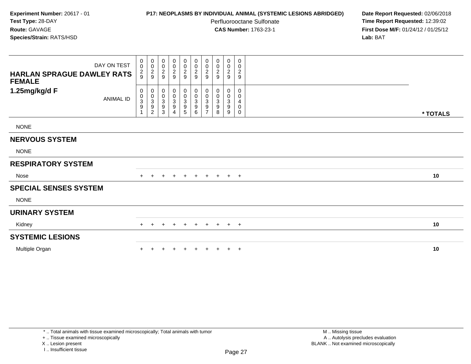## **P17: NEOPLASMS BY INDIVIDUAL ANIMAL (SYSTEMIC LESIONS ABRIDGED) Date Report Requested:** 02/06/2018

Perfluorooctane Sulfonate<br>CAS Number: 1763-23-1

 **Time Report Requested:** 12:39:02 **First Dose M/F:** 01/24/12 / 01/25/12<br>**Lab:** BAT **Lab:** BAT

| DAY ON TEST<br><b>HARLAN SPRAGUE DAWLEY RATS</b><br><b>FEMALE</b> | 0<br>$\mathsf 0$<br>$\frac{2}{9}$ | $\begin{smallmatrix} 0\\0 \end{smallmatrix}$<br>$\frac{2}{9}$ | $\begin{array}{c} 0 \\ 0 \\ 2 \\ 9 \end{array}$ | $\begin{array}{c} 0 \\ 0 \\ 2 \\ 9 \end{array}$                                       | 0<br>$\frac{0}{2}$                                        | 00029                                                | 0<br>$\pmb{0}$<br>$\frac{2}{9}$                            | 0<br>$\pmb{0}$<br>$\boldsymbol{2}$<br>9                 | 0<br>$\mathbf 0$<br>$\frac{2}{9}$                          | 0<br>0<br>$\overline{c}$<br>$\boldsymbol{9}$ |          |  |
|-------------------------------------------------------------------|-----------------------------------|---------------------------------------------------------------|-------------------------------------------------|---------------------------------------------------------------------------------------|-----------------------------------------------------------|------------------------------------------------------|------------------------------------------------------------|---------------------------------------------------------|------------------------------------------------------------|----------------------------------------------|----------|--|
| 1.25mg/kg/d F<br><b>ANIMAL ID</b>                                 | 0<br>0<br>3<br>9<br>1             | 0<br>$\pmb{0}$<br>$\sqrt{3}$<br>9<br>$\overline{c}$           | 0<br>$_{3}^{\rm 0}$<br>$\boldsymbol{9}$<br>3    | $\begin{smallmatrix} 0\\0\\3 \end{smallmatrix}$<br>$\boldsymbol{9}$<br>$\overline{4}$ | 0<br>$_{3}^{\rm 0}$<br>$\boldsymbol{9}$<br>$\overline{5}$ | $\pmb{0}$<br>$_{3}^{\rm 0}$<br>$\boldsymbol{9}$<br>6 | 0<br>0<br>$\ensuremath{\mathsf{3}}$<br>9<br>$\overline{ }$ | 0<br>$\mathbf 0$<br>$\ensuremath{\mathsf{3}}$<br>9<br>8 | $\mathbf{0}$<br>0<br>$\mathbf{3}$<br>$\boldsymbol{9}$<br>9 | $\mathbf 0$<br>0<br>4<br>0<br>0              | * TOTALS |  |
| <b>NONE</b>                                                       |                                   |                                                               |                                                 |                                                                                       |                                                           |                                                      |                                                            |                                                         |                                                            |                                              |          |  |
| <b>NERVOUS SYSTEM</b>                                             |                                   |                                                               |                                                 |                                                                                       |                                                           |                                                      |                                                            |                                                         |                                                            |                                              |          |  |
| <b>NONE</b>                                                       |                                   |                                                               |                                                 |                                                                                       |                                                           |                                                      |                                                            |                                                         |                                                            |                                              |          |  |
| <b>RESPIRATORY SYSTEM</b>                                         |                                   |                                                               |                                                 |                                                                                       |                                                           |                                                      |                                                            |                                                         |                                                            |                                              |          |  |
| Nose                                                              | $+$                               | $\pm$                                                         |                                                 | $\ddot{}$                                                                             | $+$                                                       | $+$                                                  | $+$                                                        | $+$                                                     | $+$ $+$                                                    |                                              | 10       |  |
| <b>SPECIAL SENSES SYSTEM</b>                                      |                                   |                                                               |                                                 |                                                                                       |                                                           |                                                      |                                                            |                                                         |                                                            |                                              |          |  |
| <b>NONE</b>                                                       |                                   |                                                               |                                                 |                                                                                       |                                                           |                                                      |                                                            |                                                         |                                                            |                                              |          |  |
| <b>URINARY SYSTEM</b>                                             |                                   |                                                               |                                                 |                                                                                       |                                                           |                                                      |                                                            |                                                         |                                                            |                                              |          |  |
| Kidney                                                            | $+$                               | $\pm$                                                         | ÷                                               | $+$                                                                                   | $\ddot{}$                                                 | $+$                                                  | $+$                                                        | $+$                                                     | $+$                                                        | $+$                                          | 10       |  |
| <b>SYSTEMIC LESIONS</b>                                           |                                   |                                                               |                                                 |                                                                                       |                                                           |                                                      |                                                            |                                                         |                                                            |                                              |          |  |
| Multiple Organ                                                    |                                   |                                                               |                                                 | $\ddot{}$                                                                             | $\pm$                                                     |                                                      |                                                            | $+$                                                     | $+$                                                        | $+$                                          | 10       |  |

+ .. Tissue examined microscopically

X .. Lesion present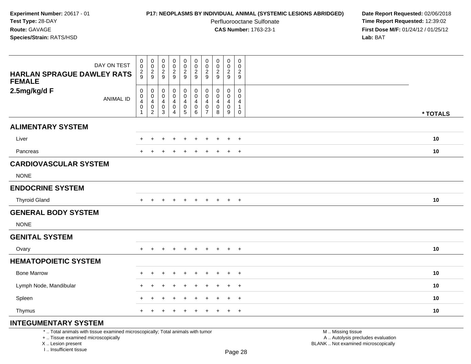## **P17: NEOPLASMS BY INDIVIDUAL ANIMAL (SYSTEMIC LESIONS ABRIDGED) Date Report Requested:** 02/06/2018

Perfluorooctane Sulfonate<br>CAS Number: 1763-23-1

 **Time Report Requested:** 12:39:02 **First Dose M/F:** 01/24/12 / 01/25/12<br>**Lab:** BAT **Lab:** BAT

| DAY ON TEST<br><b>HARLAN SPRAGUE DAWLEY RATS</b><br><b>FEMALE</b> | $\begin{smallmatrix}0\\0\end{smallmatrix}$<br>$\overline{c}$<br>9 | 0<br>$\overline{0}$<br>$\frac{2}{9}$                       | $_{\rm 0}^{\rm 0}$<br>$\overline{2}$<br>9         | $_{\rm 0}^{\rm 0}$<br>$\frac{2}{9}$ | $\begin{smallmatrix} 0\\0 \end{smallmatrix}$<br>$\overline{2}$<br>9          | $\begin{smallmatrix} 0\\0 \end{smallmatrix}$<br>$\overline{2}$<br>$\overline{9}$ | $\begin{smallmatrix} 0\\0 \end{smallmatrix}$<br>$\boldsymbol{2}$<br>$9\,$ | $_{\rm 0}^{\rm 0}$<br>$\frac{2}{9}$                    | 0<br>$\mathsf{O}\xspace$<br>$\overline{c}$<br>$9\,$ | 0<br>$\mathbf 0$<br>$\overline{2}$<br>9                        |          |
|-------------------------------------------------------------------|-------------------------------------------------------------------|------------------------------------------------------------|---------------------------------------------------|-------------------------------------|------------------------------------------------------------------------------|----------------------------------------------------------------------------------|---------------------------------------------------------------------------|--------------------------------------------------------|-----------------------------------------------------|----------------------------------------------------------------|----------|
| 2.5mg/kg/d F<br><b>ANIMAL ID</b>                                  | $\pmb{0}$<br>$\pmb{0}$<br>4<br>$\mathbf 0$<br>1                   | $\pmb{0}$<br>$\pmb{0}$<br>4<br>$\pmb{0}$<br>$\overline{2}$ | $\mathbf 0$<br>$\mathbf 0$<br>4<br>$\pmb{0}$<br>3 | 0<br>0<br>4<br>$\pmb{0}$<br>4       | $\pmb{0}$<br>$\overline{0}$<br>$\overline{4}$<br>$\pmb{0}$<br>$\overline{5}$ | $\pmb{0}$<br>$\pmb{0}$<br>4<br>$\pmb{0}$<br>$6\phantom{1}$                       | 0<br>0<br>4<br>0<br>$\overline{7}$                                        | 0<br>$\mathbf 0$<br>$\overline{4}$<br>$\mathbf 0$<br>8 | 0<br>$\mathbf 0$<br>4<br>$\mathbf 0$<br>9           | $\mathbf 0$<br>$\mathbf 0$<br>4<br>$\mathbf{1}$<br>$\mathbf 0$ | * TOTALS |
| <b>ALIMENTARY SYSTEM</b>                                          |                                                                   |                                                            |                                                   |                                     |                                                                              |                                                                                  |                                                                           |                                                        |                                                     |                                                                |          |
| Liver                                                             |                                                                   | $\div$                                                     |                                                   | $\div$                              | $\pm$                                                                        | $\div$                                                                           | +                                                                         | $\div$                                                 | $\ddot{}$                                           | $^{+}$                                                         | 10       |
| Pancreas                                                          | $\div$                                                            |                                                            |                                                   |                                     | $\pm$                                                                        | $\div$                                                                           |                                                                           |                                                        | $\overline{+}$                                      | $^{+}$                                                         | 10       |
| <b>CARDIOVASCULAR SYSTEM</b>                                      |                                                                   |                                                            |                                                   |                                     |                                                                              |                                                                                  |                                                                           |                                                        |                                                     |                                                                |          |
| <b>NONE</b>                                                       |                                                                   |                                                            |                                                   |                                     |                                                                              |                                                                                  |                                                                           |                                                        |                                                     |                                                                |          |
| <b>ENDOCRINE SYSTEM</b>                                           |                                                                   |                                                            |                                                   |                                     |                                                                              |                                                                                  |                                                                           |                                                        |                                                     |                                                                |          |
| <b>Thyroid Gland</b>                                              |                                                                   |                                                            |                                                   |                                     |                                                                              |                                                                                  |                                                                           | $\ddot{}$                                              | $\overline{+}$                                      | $+$                                                            | 10       |
| <b>GENERAL BODY SYSTEM</b>                                        |                                                                   |                                                            |                                                   |                                     |                                                                              |                                                                                  |                                                                           |                                                        |                                                     |                                                                |          |
| <b>NONE</b>                                                       |                                                                   |                                                            |                                                   |                                     |                                                                              |                                                                                  |                                                                           |                                                        |                                                     |                                                                |          |
| <b>GENITAL SYSTEM</b>                                             |                                                                   |                                                            |                                                   |                                     |                                                                              |                                                                                  |                                                                           |                                                        |                                                     |                                                                |          |
| Ovary                                                             | $+$                                                               | $+$                                                        | $\ddot{}$                                         | $+$                                 | $+$                                                                          | $+$                                                                              | $+$                                                                       | $+$                                                    | $+$                                                 | $+$                                                            | 10       |
| <b>HEMATOPOIETIC SYSTEM</b>                                       |                                                                   |                                                            |                                                   |                                     |                                                                              |                                                                                  |                                                                           |                                                        |                                                     |                                                                |          |
| <b>Bone Marrow</b>                                                |                                                                   | $\ddot{}$                                                  |                                                   |                                     |                                                                              |                                                                                  |                                                                           |                                                        | $\ddot{}$                                           | $+$                                                            | 10       |
| Lymph Node, Mandibular                                            |                                                                   |                                                            |                                                   |                                     |                                                                              |                                                                                  |                                                                           |                                                        | $\div$                                              | $\overline{+}$                                                 | 10       |
| Spleen                                                            |                                                                   | ÷                                                          |                                                   |                                     |                                                                              |                                                                                  |                                                                           |                                                        | $\ddot{}$                                           | $^{+}$                                                         | 10       |
| Thymus                                                            | $\pm$                                                             |                                                            |                                                   |                                     |                                                                              | $\div$                                                                           | $\pm$                                                                     | $\div$                                                 | $\ddot{}$                                           | $+$                                                            | 10       |
|                                                                   |                                                                   |                                                            |                                                   |                                     |                                                                              |                                                                                  |                                                                           |                                                        |                                                     |                                                                |          |

# **INTEGUMENTARY SYSTEM**

\* .. Total animals with tissue examined microscopically; Total animals with tumor

+ .. Tissue examined microscopically

X .. Lesion present

I .. Insufficient tissue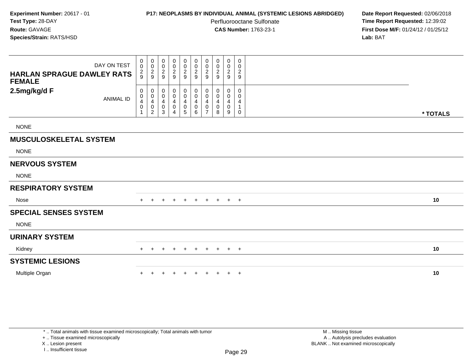# **P17: NEOPLASMS BY INDIVIDUAL ANIMAL (SYSTEMIC LESIONS ABRIDGED) Date Report Requested:** 02/06/2018

Perfluorooctane Sulfonate<br>CAS Number: 1763-23-1

 **Time Report Requested:** 12:39:02 **First Dose M/F:** 01/24/12 / 01/25/12<br>**Lab:** BAT **Lab:** BAT

| DAY ON TEST<br><b>HARLAN SPRAGUE DAWLEY RATS</b><br><b>FEMALE</b> | 0<br>$\pmb{0}$<br>$\frac{2}{9}$ | 0<br>$\mathbf 0$<br>$\frac{2}{9}$                    | 0<br>$\pmb{0}$<br>$\frac{2}{9}$ | 0<br>$\boldsymbol{0}$<br>$\frac{2}{9}$ | 0<br>$\mathsf{O}\xspace$<br>$\frac{2}{9}$                                     | 0<br>$\frac{0}{2}$<br>$9\,$                               | 0<br>$\mathbf 0$<br>$\overline{2}$<br>9 | 0<br>0<br>2<br>9      | 0<br>$\mathbf 0$<br>$\frac{2}{9}$ | 0<br>0<br>2<br>9      |          |  |
|-------------------------------------------------------------------|---------------------------------|------------------------------------------------------|---------------------------------|----------------------------------------|-------------------------------------------------------------------------------|-----------------------------------------------------------|-----------------------------------------|-----------------------|-----------------------------------|-----------------------|----------|--|
| 2.5mg/kg/d F<br><b>ANIMAL ID</b>                                  | 0<br>0<br>4<br>0                | $\pmb{0}$<br>$\mathbf 0$<br>$\overline{4}$<br>0<br>2 | 0<br>0<br>4<br>0<br>3           | 0<br>0<br>4<br>0                       | 0<br>$\boldsymbol{0}$<br>$\overline{4}$<br>$\boldsymbol{0}$<br>$\overline{5}$ | $\boldsymbol{0}$<br>$\pmb{0}$<br>$\overline{4}$<br>0<br>6 | 0<br>0<br>4<br>0<br>$\overline{ }$      | 0<br>0<br>4<br>0<br>8 | 0<br>0<br>4<br>0<br>9             | 0<br>0<br>4<br>1<br>0 | * TOTALS |  |
| <b>NONE</b>                                                       |                                 |                                                      |                                 |                                        |                                                                               |                                                           |                                         |                       |                                   |                       |          |  |
| <b>MUSCULOSKELETAL SYSTEM</b>                                     |                                 |                                                      |                                 |                                        |                                                                               |                                                           |                                         |                       |                                   |                       |          |  |
| <b>NONE</b>                                                       |                                 |                                                      |                                 |                                        |                                                                               |                                                           |                                         |                       |                                   |                       |          |  |
| <b>NERVOUS SYSTEM</b>                                             |                                 |                                                      |                                 |                                        |                                                                               |                                                           |                                         |                       |                                   |                       |          |  |
| <b>NONE</b>                                                       |                                 |                                                      |                                 |                                        |                                                                               |                                                           |                                         |                       |                                   |                       |          |  |
| <b>RESPIRATORY SYSTEM</b>                                         |                                 |                                                      |                                 |                                        |                                                                               |                                                           |                                         |                       |                                   |                       |          |  |
| Nose                                                              |                                 |                                                      |                                 | $\ddot{}$                              | $\ddot{}$                                                                     | $\pm$                                                     | $\pm$                                   | $+$                   | $+$                               | $+$                   | 10       |  |
| <b>SPECIAL SENSES SYSTEM</b>                                      |                                 |                                                      |                                 |                                        |                                                                               |                                                           |                                         |                       |                                   |                       |          |  |
| <b>NONE</b>                                                       |                                 |                                                      |                                 |                                        |                                                                               |                                                           |                                         |                       |                                   |                       |          |  |
| <b>URINARY SYSTEM</b>                                             |                                 |                                                      |                                 |                                        |                                                                               |                                                           |                                         |                       |                                   |                       |          |  |
| Kidney                                                            | $+$                             |                                                      |                                 | $\ddot{}$                              | $\ddot{}$                                                                     | $+$                                                       | $+$                                     | $+$                   | $+$ $+$                           |                       | 10       |  |
| <b>SYSTEMIC LESIONS</b>                                           |                                 |                                                      |                                 |                                        |                                                                               |                                                           |                                         |                       |                                   |                       |          |  |
| Multiple Organ                                                    |                                 |                                                      |                                 |                                        |                                                                               |                                                           |                                         |                       | $\ddot{}$                         | $+$                   | 10       |  |

+ .. Tissue examined microscopically

X .. Lesion present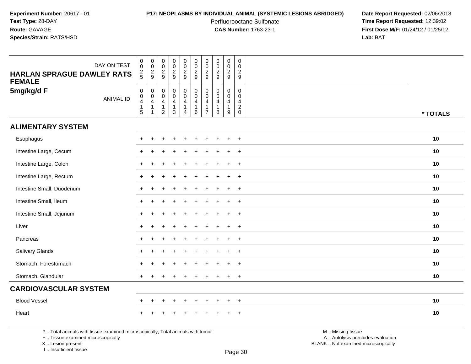## **P17: NEOPLASMS BY INDIVIDUAL ANIMAL (SYSTEMIC LESIONS ABRIDGED) Date Report Requested:** 02/06/2018

Perfluorooctane Sulfonate<br>CAS Number: 1763-23-1

 **Time Report Requested:** 12:39:02 **First Dose M/F:** 01/24/12 / 01/25/12<br>**Lab:** BAT **Lab:** BAT

| DAY ON TEST<br><b>HARLAN SPRAGUE DAWLEY RATS</b><br><b>FEMALE</b> | $\begin{smallmatrix} 0\\0 \end{smallmatrix}$<br>$\frac{2}{5}$                                       | 0002                                                                             | $_{\rm 0}^{\rm 0}$<br>$\frac{2}{9}$                                    | $\pmb{0}$<br>$\mathbf 0$<br>$\frac{2}{9}$                                          | $\pmb{0}$<br>$\pmb{0}$<br>$\frac{2}{9}$                                             | $\begin{array}{c} 0 \\ 0 \\ 2 \\ 9 \end{array}$                   | $\mathbf 0$<br>$\mathsf 0$<br>$\sqrt{2}$<br>9                                    | $\pmb{0}$<br>$\pmb{0}$<br>$\frac{2}{9}$                                    | $\pmb{0}$<br>$\pmb{0}$<br>$\frac{2}{9}$                                        | $\pmb{0}$<br>$\mathbf 0$<br>$\overline{c}$<br>9 |          |
|-------------------------------------------------------------------|-----------------------------------------------------------------------------------------------------|----------------------------------------------------------------------------------|------------------------------------------------------------------------|------------------------------------------------------------------------------------|-------------------------------------------------------------------------------------|-------------------------------------------------------------------|----------------------------------------------------------------------------------|----------------------------------------------------------------------------|--------------------------------------------------------------------------------|-------------------------------------------------|----------|
| 5mg/kg/d F<br><b>ANIMAL ID</b>                                    | $\mathsf{O}\xspace$<br>$\ddot{\mathbf{0}}$<br>$\overline{\mathbf{4}}$<br>$\mathbf{1}$<br>$\sqrt{5}$ | $\begin{smallmatrix} 0\\0 \end{smallmatrix}$<br>$\overline{4}$<br>$\overline{1}$ | $_{\rm 0}^{\rm 0}$<br>$\overline{4}$<br>$\mathbf{1}$<br>$\overline{c}$ | $\begin{smallmatrix}0\0\0\end{smallmatrix}$<br>$\overline{4}$<br>1<br>$\mathbf{3}$ | $\begin{smallmatrix} 0\\0 \end{smallmatrix}$<br>$\overline{4}$<br>$\mathbf{1}$<br>4 | $_{\rm 0}^{\rm 0}$<br>$\overline{\mathbf{4}}$<br>$\mathbf 1$<br>6 | $\mathbf 0$<br>$\mathbf 0$<br>$\overline{4}$<br>$\overline{1}$<br>$\overline{7}$ | $\mathbf 0$<br>$\mathbf 0$<br>$\overline{\mathbf{4}}$<br>$\mathbf{1}$<br>8 | 0<br>$\ddot{\mathbf{0}}$<br>$\overline{4}$<br>$\mathbf{1}$<br>$\boldsymbol{9}$ | $\mathbf 0$<br>$\mathbf 0$<br>4<br>$^2_{0}$     | * TOTALS |
| <b>ALIMENTARY SYSTEM</b>                                          |                                                                                                     |                                                                                  |                                                                        |                                                                                    |                                                                                     |                                                                   |                                                                                  |                                                                            |                                                                                |                                                 |          |
| Esophagus                                                         | $\ddot{}$                                                                                           |                                                                                  |                                                                        |                                                                                    |                                                                                     |                                                                   |                                                                                  |                                                                            | $\ddot{}$                                                                      | $\overline{+}$                                  | 10       |
| Intestine Large, Cecum                                            | $\ddot{}$                                                                                           | $\pm$                                                                            |                                                                        | ÷                                                                                  |                                                                                     | $\ddot{}$                                                         |                                                                                  |                                                                            | $\ddot{}$                                                                      | $+$                                             | 10       |
| Intestine Large, Colon                                            | $\ddot{}$                                                                                           |                                                                                  |                                                                        |                                                                                    |                                                                                     |                                                                   |                                                                                  |                                                                            | $\ddot{}$                                                                      | $+$                                             | 10       |
| Intestine Large, Rectum                                           | $\ddot{}$                                                                                           | ÷                                                                                |                                                                        |                                                                                    |                                                                                     |                                                                   |                                                                                  |                                                                            | $\ddot{}$                                                                      | $\overline{+}$                                  | 10       |
| Intestine Small, Duodenum                                         | $\ddot{}$                                                                                           |                                                                                  |                                                                        |                                                                                    |                                                                                     |                                                                   |                                                                                  |                                                                            | $\ddot{}$                                                                      | $\overline{+}$                                  | 10       |
| Intestine Small, Ileum                                            | $\ddot{}$                                                                                           | $\pm$                                                                            |                                                                        | ÷                                                                                  |                                                                                     | $\ddot{}$                                                         |                                                                                  |                                                                            | $\ddot{}$                                                                      | $+$                                             | 10       |
| Intestine Small, Jejunum                                          | $\ddot{}$                                                                                           |                                                                                  |                                                                        |                                                                                    |                                                                                     | $\ddot{}$                                                         |                                                                                  |                                                                            | $\ddot{}$                                                                      | $+$                                             | 10       |
| Liver                                                             | $\ddot{}$                                                                                           | ÷                                                                                |                                                                        |                                                                                    |                                                                                     | $\ddot{}$                                                         |                                                                                  |                                                                            | $\ddot{}$                                                                      | $+$                                             | 10       |
| Pancreas                                                          | ÷                                                                                                   |                                                                                  |                                                                        |                                                                                    |                                                                                     |                                                                   |                                                                                  |                                                                            | $\ddot{}$                                                                      | $\overline{+}$                                  | 10       |
| Salivary Glands                                                   | $\ddot{}$                                                                                           |                                                                                  |                                                                        |                                                                                    |                                                                                     |                                                                   |                                                                                  |                                                                            | $\ddot{}$                                                                      | $\overline{+}$                                  | 10       |
| Stomach, Forestomach                                              |                                                                                                     |                                                                                  |                                                                        |                                                                                    |                                                                                     |                                                                   |                                                                                  |                                                                            | $\ddot{}$                                                                      | $\overline{+}$                                  | 10       |
| Stomach, Glandular                                                | $\ddot{}$                                                                                           |                                                                                  |                                                                        |                                                                                    |                                                                                     |                                                                   |                                                                                  |                                                                            | $\ddot{}$                                                                      | $\overline{+}$                                  | 10       |
| <b>CARDIOVASCULAR SYSTEM</b>                                      |                                                                                                     |                                                                                  |                                                                        |                                                                                    |                                                                                     |                                                                   |                                                                                  |                                                                            |                                                                                |                                                 |          |
| <b>Blood Vessel</b>                                               | $\pm$                                                                                               | ÷                                                                                |                                                                        | $\ddot{}$                                                                          | $\ddot{}$                                                                           | $\ddot{}$                                                         | ÷                                                                                |                                                                            | $\ddot{}$                                                                      | $+$                                             | 10       |
| Heart                                                             |                                                                                                     |                                                                                  |                                                                        |                                                                                    |                                                                                     |                                                                   |                                                                                  |                                                                            |                                                                                |                                                 | 10       |

\* .. Total animals with tissue examined microscopically; Total animals with tumor

+ .. Tissue examined microscopically

 Lesion present BLANK .. Not examined microscopicallyX .. Lesion present

I .. Insufficient tissue

M .. Missing tissue y the contract of the contract of the contract of the contract of the contract of  $\mathsf A$  . Autolysis precludes evaluation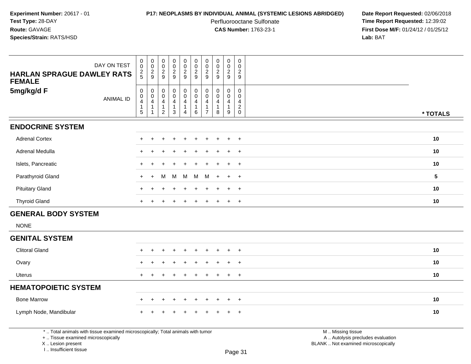# **P17: NEOPLASMS BY INDIVIDUAL ANIMAL (SYSTEMIC LESIONS ABRIDGED) Date Report Requested:** 02/06/2018

Perfluorooctane Sulfonate<br>CAS Number: 1763-23-1

 **Time Report Requested:** 12:39:02 **First Dose M/F:** 01/24/12 / 01/25/12<br>Lab: BAT **Lab:** BAT

| DAY ON TEST                                                                                                                                                           | $_{\rm 0}^{\rm 0}$                          | $\mathbf 0$<br>$\mathbf 0$                                                   | $\pmb{0}$<br>$\mathbf 0$                      | $\begin{smallmatrix} 0\\0 \end{smallmatrix}$                | $\boldsymbol{0}$<br>$\mathbf 0$                                                                           | $\pmb{0}$<br>$\boldsymbol{0}$                                                       | $\pmb{0}$<br>$\mathbf 0$                            | $\mathbf 0$<br>$\ddot{\mathbf{0}}$                           | $\mathsf 0$<br>$\mathbf 0$                                         | $\pmb{0}$<br>$\mathbf 0$                                      |                                                                                               |                 |
|-----------------------------------------------------------------------------------------------------------------------------------------------------------------------|---------------------------------------------|------------------------------------------------------------------------------|-----------------------------------------------|-------------------------------------------------------------|-----------------------------------------------------------------------------------------------------------|-------------------------------------------------------------------------------------|-----------------------------------------------------|--------------------------------------------------------------|--------------------------------------------------------------------|---------------------------------------------------------------|-----------------------------------------------------------------------------------------------|-----------------|
| <b>HARLAN SPRAGUE DAWLEY RATS</b><br><b>FEMALE</b>                                                                                                                    | $\frac{2}{5}$                               | $\frac{2}{9}$                                                                | $\frac{2}{9}$                                 | $\frac{2}{9}$                                               | $\mathbf{2}$<br>9                                                                                         | $\overline{c}$<br>9                                                                 | $\overline{c}$<br>9                                 | $\overline{2}$<br>9                                          | $\overline{2}$<br>9                                                | $\overline{c}$<br>9                                           |                                                                                               |                 |
| 5mg/kg/d F<br><b>ANIMAL ID</b>                                                                                                                                        | $\pmb{0}$<br>$\frac{0}{4}$<br>$\frac{1}{5}$ | $\mathbf 0$<br>$\mathbf 0$<br>$\overline{4}$<br>$\mathbf{1}$<br>$\mathbf{1}$ | 0<br>0<br>4<br>$\mathbf{1}$<br>$\overline{c}$ | $\pmb{0}$<br>$\mathbf 0$<br>4<br>$\mathbf{1}$<br>$\sqrt{3}$ | $\begin{smallmatrix} 0\\0 \end{smallmatrix}$<br>$\overline{\mathbf{4}}$<br>$\mathbf{1}$<br>$\overline{4}$ | $\begin{smallmatrix} 0\\0 \end{smallmatrix}$<br>$\overline{4}$<br>$\mathbf{1}$<br>6 | $\mathbf 0$<br>$\Omega$<br>4<br>1<br>$\overline{7}$ | $\pmb{0}$<br>$\Omega$<br>$\overline{4}$<br>$\mathbf{1}$<br>8 | $\mathsf{O}$<br>$\mathbf 0$<br>$\overline{4}$<br>$\mathbf{1}$<br>9 | $\mathbf 0$<br>$\mathbf 0$<br>$\overline{4}$<br>$\frac{2}{0}$ |                                                                                               |                 |
|                                                                                                                                                                       |                                             |                                                                              |                                               |                                                             |                                                                                                           |                                                                                     |                                                     |                                                              |                                                                    |                                                               |                                                                                               | * TOTALS        |
| <b>ENDOCRINE SYSTEM</b>                                                                                                                                               |                                             |                                                                              |                                               |                                                             |                                                                                                           |                                                                                     |                                                     |                                                              |                                                                    |                                                               |                                                                                               |                 |
| <b>Adrenal Cortex</b>                                                                                                                                                 |                                             | $\ddot{}$                                                                    | ÷                                             | $\overline{1}$                                              | $\ddot{}$                                                                                                 | $\ddot{}$                                                                           | $\ddot{}$                                           |                                                              | $\ddot{}$                                                          | $+$                                                           |                                                                                               | 10              |
| Adrenal Medulla                                                                                                                                                       |                                             |                                                                              |                                               |                                                             |                                                                                                           |                                                                                     |                                                     |                                                              |                                                                    | $+$                                                           |                                                                                               | 10              |
| Islets, Pancreatic                                                                                                                                                    |                                             |                                                                              |                                               |                                                             |                                                                                                           |                                                                                     |                                                     |                                                              | $\ddot{}$                                                          | $+$                                                           |                                                                                               | 10              |
| Parathyroid Gland                                                                                                                                                     |                                             |                                                                              | м                                             | M                                                           | м                                                                                                         | M                                                                                   | M                                                   |                                                              | $\ddot{}$                                                          | $+$                                                           |                                                                                               | $5\phantom{.0}$ |
| <b>Pituitary Gland</b>                                                                                                                                                |                                             |                                                                              |                                               |                                                             |                                                                                                           |                                                                                     |                                                     |                                                              | $\ddot{}$                                                          | $\ddot{}$                                                     |                                                                                               | 10              |
| <b>Thyroid Gland</b>                                                                                                                                                  |                                             |                                                                              |                                               |                                                             |                                                                                                           |                                                                                     |                                                     |                                                              | $\ddot{}$                                                          | $+$                                                           |                                                                                               | 10              |
| <b>GENERAL BODY SYSTEM</b>                                                                                                                                            |                                             |                                                                              |                                               |                                                             |                                                                                                           |                                                                                     |                                                     |                                                              |                                                                    |                                                               |                                                                                               |                 |
| <b>NONE</b>                                                                                                                                                           |                                             |                                                                              |                                               |                                                             |                                                                                                           |                                                                                     |                                                     |                                                              |                                                                    |                                                               |                                                                                               |                 |
| <b>GENITAL SYSTEM</b>                                                                                                                                                 |                                             |                                                                              |                                               |                                                             |                                                                                                           |                                                                                     |                                                     |                                                              |                                                                    |                                                               |                                                                                               |                 |
| <b>Clitoral Gland</b>                                                                                                                                                 |                                             |                                                                              |                                               |                                                             |                                                                                                           |                                                                                     |                                                     |                                                              | $\ddot{}$                                                          | $+$                                                           |                                                                                               | 10              |
| Ovary                                                                                                                                                                 |                                             |                                                                              |                                               |                                                             |                                                                                                           |                                                                                     |                                                     |                                                              |                                                                    | $\ddot{}$                                                     |                                                                                               | 10              |
| <b>Uterus</b>                                                                                                                                                         |                                             |                                                                              |                                               |                                                             |                                                                                                           |                                                                                     |                                                     |                                                              | $\ddot{}$                                                          | $+$                                                           |                                                                                               | 10              |
| <b>HEMATOPOIETIC SYSTEM</b>                                                                                                                                           |                                             |                                                                              |                                               |                                                             |                                                                                                           |                                                                                     |                                                     |                                                              |                                                                    |                                                               |                                                                                               |                 |
| <b>Bone Marrow</b>                                                                                                                                                    |                                             |                                                                              |                                               |                                                             |                                                                                                           |                                                                                     |                                                     |                                                              | $\div$                                                             | $\overline{+}$                                                |                                                                                               | 10              |
| Lymph Node, Mandibular                                                                                                                                                |                                             |                                                                              |                                               |                                                             |                                                                                                           |                                                                                     |                                                     |                                                              |                                                                    | $\ddot{}$                                                     |                                                                                               | 10              |
| *  Total animals with tissue examined microscopically; Total animals with tumor<br>+  Tissue examined microscopically<br>X  Lesion present<br>I., Insufficient tissue |                                             |                                                                              |                                               |                                                             |                                                                                                           |                                                                                     |                                                     |                                                              |                                                                    | Page 31                                                       | M  Missing tissue<br>A  Autolysis precludes evaluation<br>BLANK  Not examined microscopically |                 |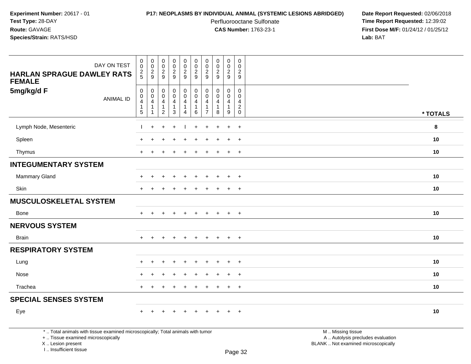# **P17: NEOPLASMS BY INDIVIDUAL ANIMAL (SYSTEMIC LESIONS ABRIDGED) Date Report Requested:** 02/06/2018

Perfluorooctane Sulfonate<br>CAS Number: 1763-23-1

 **Time Report Requested:** 12:39:02 **First Dose M/F:** 01/24/12 / 01/25/12<br>**Lab:** BAT **Lab:** BAT

| <b>HARLAN SPRAGUE DAWLEY RATS</b>                                                                                                          | DAY ON TEST      | $\mathsf{O}\xspace$<br>$\overline{0}$<br>$\frac{2}{5}$          | $_{\rm 0}^{\rm 0}$<br>$\frac{2}{9}$             | $\mathsf{O}\xspace$<br>$\overline{0}$<br>$\frac{2}{9}$            | $\mathsf 0$<br>$\overline{0}$<br>$\frac{2}{9}$        | $\begin{smallmatrix}0\0\0\end{smallmatrix}$<br>$\frac{2}{9}$    | $_{\rm 0}^{\rm 0}$<br>$\overline{\mathbf{c}}$<br>9 | $\mathbf 0$<br>$\mathbf 0$<br>$\overline{c}$<br>9             | $\mathbf 0$<br>$\ddot{\mathbf{0}}$<br>$\sqrt{2}$<br>9 | $\pmb{0}$<br>$\ddot{\mathbf{0}}$<br>$\frac{2}{9}$    | $\mathsf 0$<br>$\Omega$<br>$\overline{c}$<br>9                 |                                                                                               |          |
|--------------------------------------------------------------------------------------------------------------------------------------------|------------------|-----------------------------------------------------------------|-------------------------------------------------|-------------------------------------------------------------------|-------------------------------------------------------|-----------------------------------------------------------------|----------------------------------------------------|---------------------------------------------------------------|-------------------------------------------------------|------------------------------------------------------|----------------------------------------------------------------|-----------------------------------------------------------------------------------------------|----------|
| <b>FEMALE</b><br>5mg/kg/d F                                                                                                                | <b>ANIMAL ID</b> | $\pmb{0}$<br>$\mathbf 0$<br>$\overline{4}$<br>$\mathbf{1}$<br>5 | $\pmb{0}$<br>$\mathbf 0$<br>4<br>$\overline{1}$ | $\mathbf 0$<br>$\mathbf 0$<br>4<br>$\mathbf{1}$<br>$\overline{2}$ | 0<br>$\mathbf 0$<br>4<br>$\mathbf{1}$<br>$\mathbf{3}$ | $\pmb{0}$<br>$\mathbf 0$<br>4<br>$\mathbf{1}$<br>$\overline{4}$ | $\pmb{0}$<br>$\mathbf 0$<br>4<br>$\mathbf{1}$<br>6 | $\mathbf 0$<br>$\Omega$<br>4<br>$\mathbf 1$<br>$\overline{7}$ | $\mathbf 0$<br>$\mathbf{0}$<br>4<br>$\mathbf{1}$<br>8 | $\mathbf 0$<br>$\mathbf 0$<br>4<br>$\mathbf{1}$<br>9 | $\Omega$<br>$\mathbf{0}$<br>4<br>$\overline{c}$<br>$\mathbf 0$ |                                                                                               | * TOTALS |
| Lymph Node, Mesenteric                                                                                                                     |                  |                                                                 | $\ddot{}$                                       | $\ddot{}$                                                         | $\ddot{}$                                             |                                                                 | $\ddot{}$                                          | $\pm$                                                         |                                                       | $\ddot{}$                                            | $+$                                                            |                                                                                               | 8        |
| Spleen                                                                                                                                     |                  |                                                                 |                                                 |                                                                   |                                                       |                                                                 |                                                    |                                                               |                                                       | $\ddot{}$                                            | $\ddot{}$                                                      |                                                                                               | 10       |
| Thymus                                                                                                                                     |                  | $\ddot{}$                                                       |                                                 |                                                                   |                                                       |                                                                 |                                                    |                                                               |                                                       | $\ddot{}$                                            | $+$                                                            |                                                                                               | 10       |
| <b>INTEGUMENTARY SYSTEM</b>                                                                                                                |                  |                                                                 |                                                 |                                                                   |                                                       |                                                                 |                                                    |                                                               |                                                       |                                                      |                                                                |                                                                                               |          |
| Mammary Gland                                                                                                                              |                  |                                                                 |                                                 |                                                                   |                                                       |                                                                 |                                                    |                                                               |                                                       |                                                      | $\ddot{}$                                                      |                                                                                               | 10       |
| Skin                                                                                                                                       |                  | $\div$                                                          |                                                 |                                                                   |                                                       |                                                                 |                                                    |                                                               |                                                       | $\ddot{}$                                            | $\overline{+}$                                                 |                                                                                               | 10       |
| <b>MUSCULOSKELETAL SYSTEM</b>                                                                                                              |                  |                                                                 |                                                 |                                                                   |                                                       |                                                                 |                                                    |                                                               |                                                       |                                                      |                                                                |                                                                                               |          |
| Bone                                                                                                                                       |                  | $+$                                                             | $+$                                             | $\pm$                                                             | $+$                                                   | $+$                                                             | $+$                                                | $+$                                                           | $+$                                                   | $+$                                                  | $+$                                                            |                                                                                               | 10       |
| <b>NERVOUS SYSTEM</b>                                                                                                                      |                  |                                                                 |                                                 |                                                                   |                                                       |                                                                 |                                                    |                                                               |                                                       |                                                      |                                                                |                                                                                               |          |
| <b>Brain</b>                                                                                                                               |                  |                                                                 |                                                 |                                                                   | $\div$                                                |                                                                 | $\ddot{}$                                          | $\pm$                                                         | $\div$                                                | $+$                                                  | $+$                                                            |                                                                                               | 10       |
| <b>RESPIRATORY SYSTEM</b>                                                                                                                  |                  |                                                                 |                                                 |                                                                   |                                                       |                                                                 |                                                    |                                                               |                                                       |                                                      |                                                                |                                                                                               |          |
| Lung                                                                                                                                       |                  |                                                                 |                                                 |                                                                   |                                                       |                                                                 |                                                    |                                                               |                                                       |                                                      | $\overline{ }$                                                 |                                                                                               | 10       |
| Nose                                                                                                                                       |                  |                                                                 |                                                 |                                                                   |                                                       |                                                                 |                                                    |                                                               |                                                       |                                                      | $\overline{ }$                                                 |                                                                                               | 10       |
| Trachea                                                                                                                                    |                  | $+$                                                             | ÷                                               |                                                                   |                                                       |                                                                 |                                                    |                                                               |                                                       | $\ddot{}$                                            | $+$                                                            |                                                                                               | 10       |
| <b>SPECIAL SENSES SYSTEM</b>                                                                                                               |                  |                                                                 |                                                 |                                                                   |                                                       |                                                                 |                                                    |                                                               |                                                       |                                                      |                                                                |                                                                                               |          |
| Eye                                                                                                                                        |                  |                                                                 |                                                 |                                                                   |                                                       |                                                                 |                                                    |                                                               |                                                       |                                                      | $\overline{+}$                                                 |                                                                                               | 10       |
| *  Total animals with tissue examined microscopically; Total animals with tumor<br>+  Tissue examined microscopically<br>X  Lesion present |                  |                                                                 |                                                 |                                                                   |                                                       |                                                                 |                                                    |                                                               |                                                       |                                                      |                                                                | M  Missing tissue<br>A  Autolysis precludes evaluation<br>BLANK  Not examined microscopically |          |